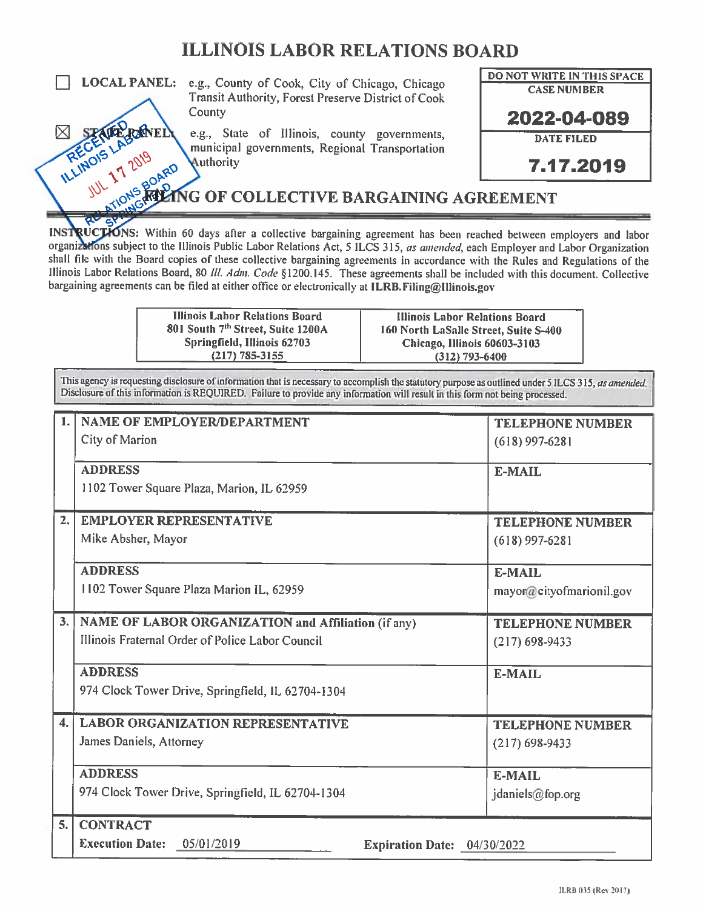### **ILLINOIS LABOR RELATIONS BOARD**



**LOCAL PANEL:** e.g., County of Cook, City of Chicago, Chicago Transit Authority, Forest Preserve District of Cook County

> e.g., State of Illinois, county governments, municipal governments, Regional Transportation Authority

NG OF COLLECTIVE BARGAINING AGREEMENT

INSTRUCTIONS: Within 60 days after a collective bargaining agreement has been reached between employers and labor organizations subject to the Illinois Public Labor Relations Act, 5 ILCS 315, as amended, each Employer and Labor Organization shall file with the Board copies of these collective bargaining agreements in accordance with the Rules and Regulations of the Illinois Labor Relations Board, 80 III. Adm. Code §1200.145. These agreements shall be included with this document. Collective bargaining agreements can be filed at either office or electronically at ILRB. Filing@Illinois.gov

> **Illinois Labor Relations Board** 801 South 7th Street, Suite 1200A Springfield, Illinois 62703  $(217) 785 - 3155$

**Illinois Labor Relations Board** 160 North LaSalle Street, Suite S-400 Chicago, Illinois 60603-3103  $(312)$  793-6400

**DO NOT WRITE IN THIS SPACE** 

**CASE NUMBER** 

2022-04-089

**DATE FILED** 

7.17.2019

This agency is requesting disclosure of information that is necessary to accomplish the statutory purpose as outlined under 5 ILCS 315, as amended. Disclosure of this information is REQUIRED. Failure to provide any information will result in this form not being processed.

| $\mathbf{1}$ .   | <b>NAME OF EMPLOYER/DEPARTMENT</b>                                  | <b>TELEPHONE NUMBER</b>  |
|------------------|---------------------------------------------------------------------|--------------------------|
|                  | City of Marion                                                      | $(618)$ 997-6281         |
|                  | <b>ADDRESS</b>                                                      |                          |
|                  |                                                                     | <b>E-MAIL</b>            |
|                  | 1102 Tower Square Plaza, Marion, IL 62959                           |                          |
| 2.               | <b>EMPLOYER REPRESENTATIVE</b>                                      | <b>TELEPHONE NUMBER</b>  |
|                  | Mike Absher, Mayor                                                  | $(618)$ 997-6281         |
|                  |                                                                     |                          |
|                  | <b>ADDRESS</b>                                                      | <b>E-MAIL</b>            |
|                  | 1102 Tower Square Plaza Marion IL, 62959                            | mayor@cityofmarionil.gov |
| 3.               | NAME OF LABOR ORGANIZATION and Affiliation (if any)                 | <b>TELEPHONE NUMBER</b>  |
|                  | Illinois Fraternal Order of Police Labor Council                    | $(217)$ 698-9433         |
|                  |                                                                     |                          |
|                  | <b>ADDRESS</b>                                                      | E-MAIL                   |
|                  | 974 Clock Tower Drive, Springfield, IL 62704-1304                   |                          |
|                  |                                                                     |                          |
| $\overline{4}$ . | <b>LABOR ORGANIZATION REPRESENTATIVE</b>                            | <b>TELEPHONE NUMBER</b>  |
|                  | James Daniels, Attorney                                             | $(217)$ 698-9433         |
|                  | <b>ADDRESS</b>                                                      | <b>E-MAIL</b>            |
|                  | 974 Clock Tower Drive, Springfield, IL 62704-1304                   | jdaniels@fop.org         |
|                  |                                                                     |                          |
| 5.               | <b>CONTRACT</b>                                                     |                          |
|                  | <b>Execution Date:</b><br>05/01/2019<br>Expiration Date: 04/30/2022 |                          |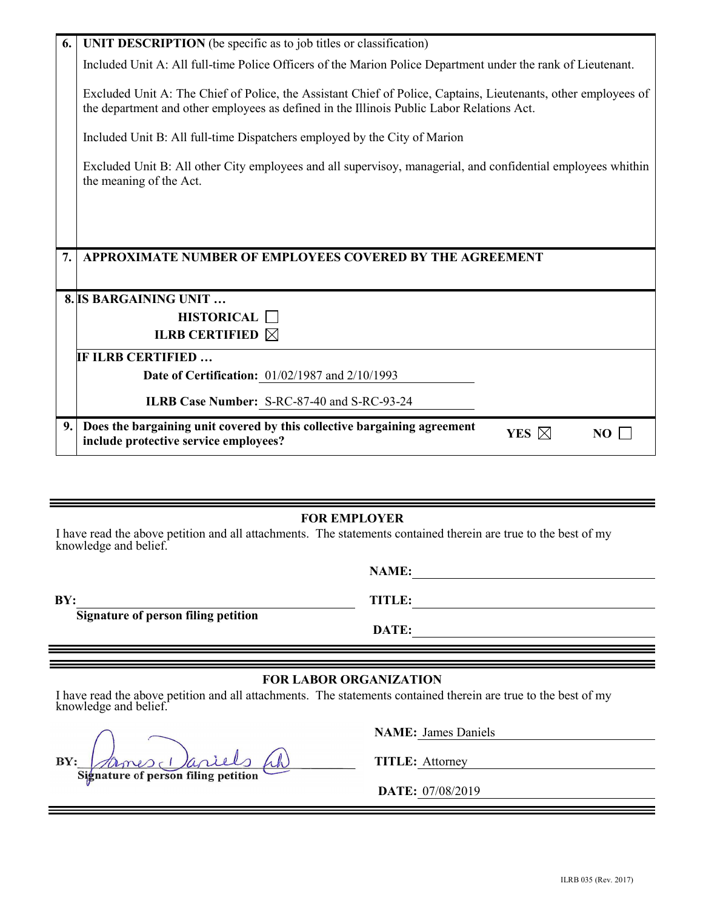| 6. | <b>UNIT DESCRIPTION</b> (be specific as to job titles or classification)                                                                                                                                    |
|----|-------------------------------------------------------------------------------------------------------------------------------------------------------------------------------------------------------------|
|    | Included Unit A: All full-time Police Officers of the Marion Police Department under the rank of Lieutenant.                                                                                                |
|    | Excluded Unit A: The Chief of Police, the Assistant Chief of Police, Captains, Lieutenants, other employees of<br>the department and other employees as defined in the Illinois Public Labor Relations Act. |
|    | Included Unit B: All full-time Dispatchers employed by the City of Marion                                                                                                                                   |
|    | Excluded Unit B: All other City employees and all supervisoy, managerial, and confidential employees whithin<br>the meaning of the Act.                                                                     |
|    |                                                                                                                                                                                                             |
|    |                                                                                                                                                                                                             |
| 7. | APPROXIMATE NUMBER OF EMPLOYEES COVERED BY THE AGREEMENT                                                                                                                                                    |
|    | 8. IS BARGAINING UNIT                                                                                                                                                                                       |
|    | <b>HISTORICAL</b>                                                                                                                                                                                           |
|    | <b>ILRB CERTIFIED</b> $\boxtimes$                                                                                                                                                                           |
|    | IF ILRB CERTIFIED                                                                                                                                                                                           |
|    | <b>Date of Certification:</b> 01/02/1987 and 2/10/1993                                                                                                                                                      |
|    | ILRB Case Number: S-RC-87-40 and S-RC-93-24                                                                                                                                                                 |
| 9. | Does the bargaining unit covered by this collective bargaining agreement<br>YES $\boxtimes$<br>NO<br>include protective service employees?                                                                  |

#### **FOR EMPLOYER**

I have read the above petition and all attachments. The statements contained therein are true to the best of my knowledge and belief.

**NAME:**

**BY: TITLE: Signature of person filing petition**

#### **FOR LABOR ORGANIZATION**

I have read the above petition and all attachments. The statements contained therein are true to the best of my knowledge and belief.

BY: Annes (*aniels hh*) TITLE: Attorney **Signature of person filing petition**

**NAME:** James Daniels

**DATE:** 

**DATE:** 07/08/2019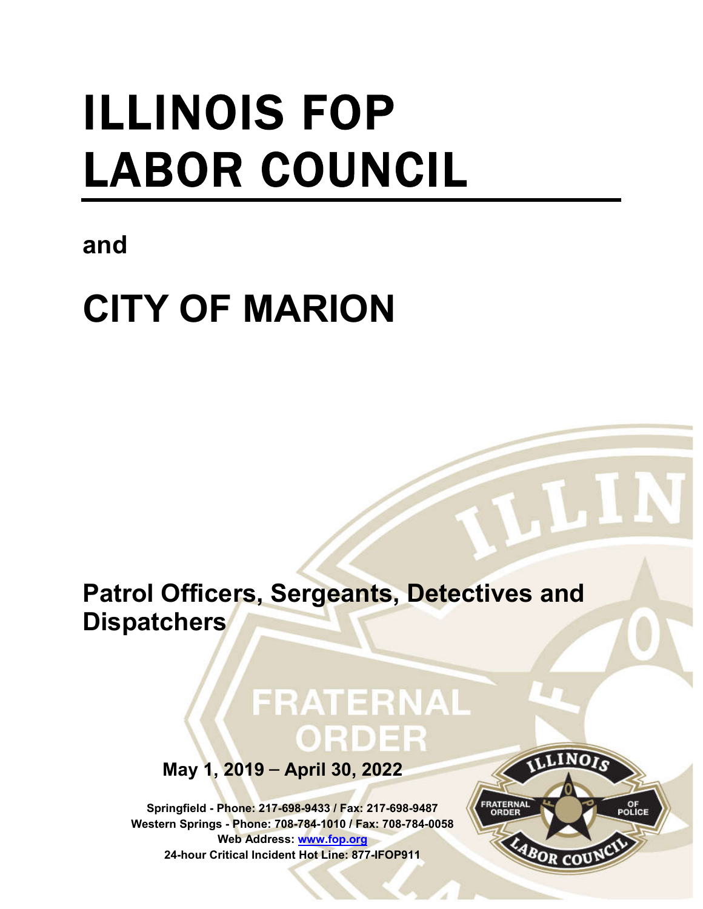# ILLINOIS FOP LABOR COUNCIL

### **and**

## **CITY OF MARION**

**Patrol Officers, Sergeants, Detectives and Dispatchers**

## FRATERNAL ORDER

**May 1, 2019** – **April 30, 2022**

**Springfield - Phone: 217-698-9433 / Fax: 217-698-9487 Western Springs - Phone: 708-784-1010 / Fax: 708-784-0058 Web Address: www.fop.org 24-hour Critical Incident Hot Line: 877-IFOP911**

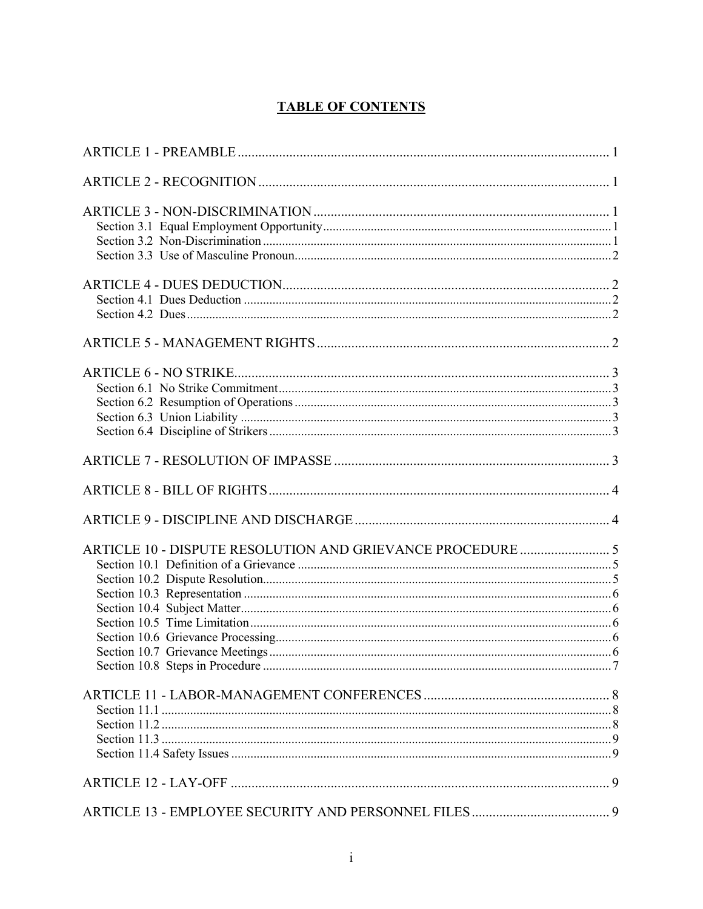#### **TABLE OF CONTENTS**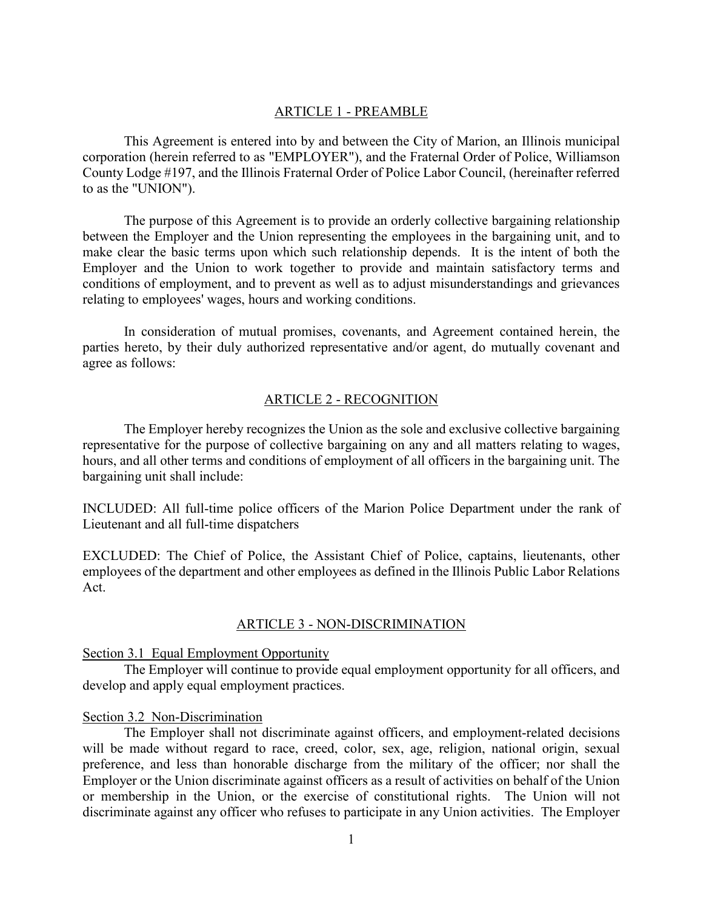#### ARTICLE 1 - PREAMBLE

This Agreement is entered into by and between the City of Marion, an Illinois municipal corporation (herein referred to as "EMPLOYER"), and the Fraternal Order of Police, Williamson County Lodge #197, and the Illinois Fraternal Order of Police Labor Council, (hereinafter referred to as the "UNION").

The purpose of this Agreement is to provide an orderly collective bargaining relationship between the Employer and the Union representing the employees in the bargaining unit, and to make clear the basic terms upon which such relationship depends. It is the intent of both the Employer and the Union to work together to provide and maintain satisfactory terms and conditions of employment, and to prevent as well as to adjust misunderstandings and grievances relating to employees' wages, hours and working conditions.

In consideration of mutual promises, covenants, and Agreement contained herein, the parties hereto, by their duly authorized representative and/or agent, do mutually covenant and agree as follows:

#### ARTICLE 2 - RECOGNITION

The Employer hereby recognizes the Union as the sole and exclusive collective bargaining representative for the purpose of collective bargaining on any and all matters relating to wages, hours, and all other terms and conditions of employment of all officers in the bargaining unit. The bargaining unit shall include:

INCLUDED: All full-time police officers of the Marion Police Department under the rank of Lieutenant and all full-time dispatchers

EXCLUDED: The Chief of Police, the Assistant Chief of Police, captains, lieutenants, other employees of the department and other employees as defined in the Illinois Public Labor Relations Act.

#### ARTICLE 3 - NON-DISCRIMINATION

Section 3.1 Equal Employment Opportunity

The Employer will continue to provide equal employment opportunity for all officers, and develop and apply equal employment practices.

#### Section 3.2 Non-Discrimination

The Employer shall not discriminate against officers, and employment-related decisions will be made without regard to race, creed, color, sex, age, religion, national origin, sexual preference, and less than honorable discharge from the military of the officer; nor shall the Employer or the Union discriminate against officers as a result of activities on behalf of the Union or membership in the Union, or the exercise of constitutional rights. The Union will not discriminate against any officer who refuses to participate in any Union activities. The Employer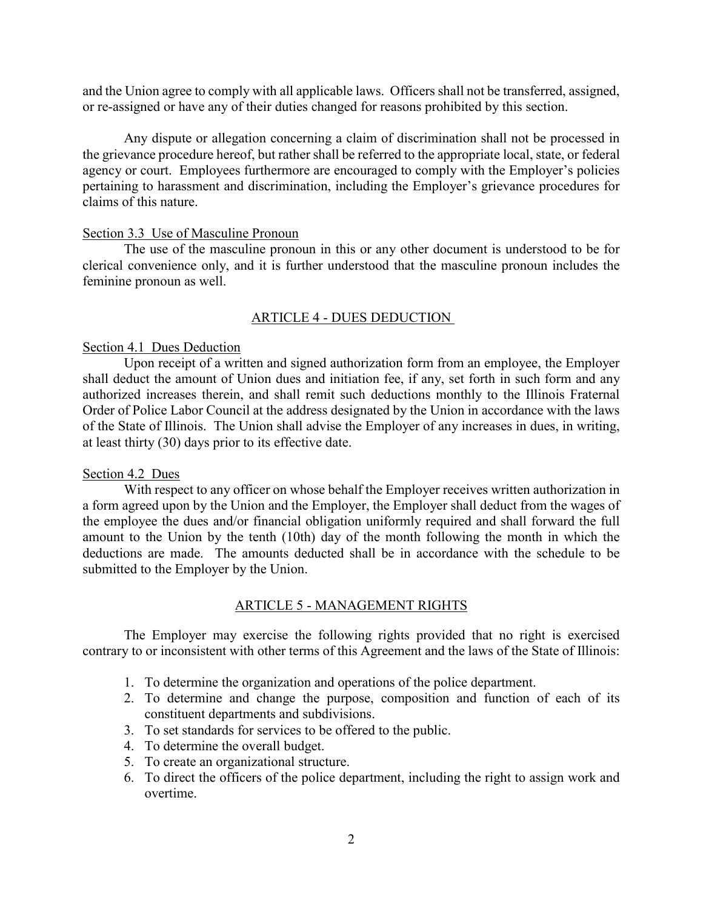and the Union agree to comply with all applicable laws. Officers shall not be transferred, assigned, or re-assigned or have any of their duties changed for reasons prohibited by this section.

Any dispute or allegation concerning a claim of discrimination shall not be processed in the grievance procedure hereof, but rather shall be referred to the appropriate local, state, or federal agency or court. Employees furthermore are encouraged to comply with the Employer's policies pertaining to harassment and discrimination, including the Employer's grievance procedures for claims of this nature.

#### Section 3.3 Use of Masculine Pronoun

The use of the masculine pronoun in this or any other document is understood to be for clerical convenience only, and it is further understood that the masculine pronoun includes the feminine pronoun as well.

#### ARTICLE 4 - DUES DEDUCTION

#### Section 4.1 Dues Deduction

Upon receipt of a written and signed authorization form from an employee, the Employer shall deduct the amount of Union dues and initiation fee, if any, set forth in such form and any authorized increases therein, and shall remit such deductions monthly to the Illinois Fraternal Order of Police Labor Council at the address designated by the Union in accordance with the laws of the State of Illinois. The Union shall advise the Employer of any increases in dues, in writing, at least thirty (30) days prior to its effective date.

#### Section 4.2 Dues

With respect to any officer on whose behalf the Employer receives written authorization in a form agreed upon by the Union and the Employer, the Employer shall deduct from the wages of the employee the dues and/or financial obligation uniformly required and shall forward the full amount to the Union by the tenth (10th) day of the month following the month in which the deductions are made. The amounts deducted shall be in accordance with the schedule to be submitted to the Employer by the Union.

#### ARTICLE 5 - MANAGEMENT RIGHTS

The Employer may exercise the following rights provided that no right is exercised contrary to or inconsistent with other terms of this Agreement and the laws of the State of Illinois:

- 1. To determine the organization and operations of the police department.
- 2. To determine and change the purpose, composition and function of each of its constituent departments and subdivisions.
- 3. To set standards for services to be offered to the public.
- 4. To determine the overall budget.
- 5. To create an organizational structure.
- 6. To direct the officers of the police department, including the right to assign work and overtime.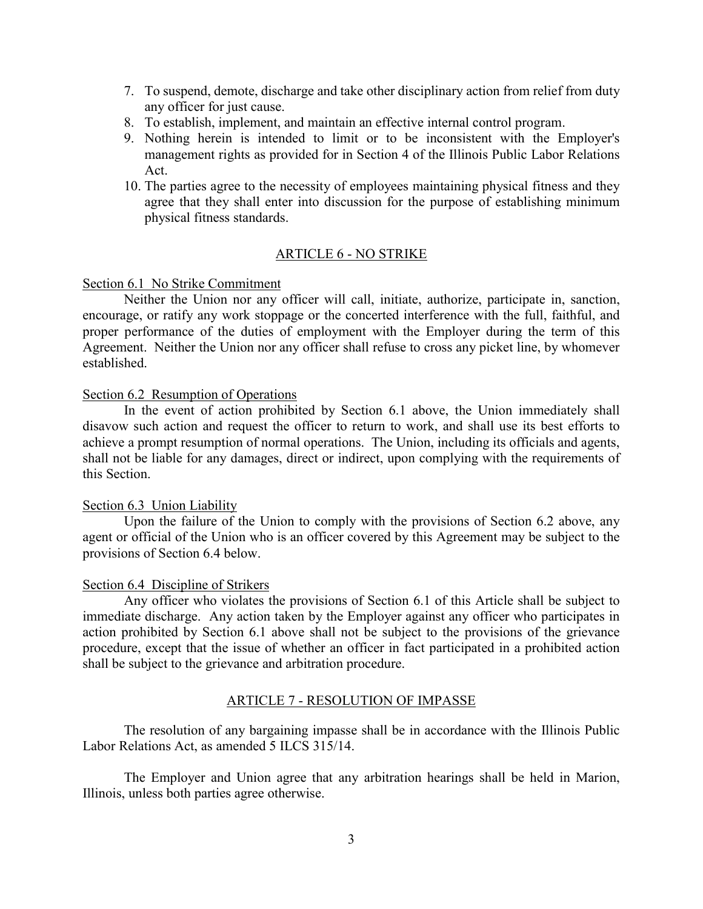- 7. To suspend, demote, discharge and take other disciplinary action from relief from duty any officer for just cause.
- 8. To establish, implement, and maintain an effective internal control program.
- 9. Nothing herein is intended to limit or to be inconsistent with the Employer's management rights as provided for in Section 4 of the Illinois Public Labor Relations Act.
- 10. The parties agree to the necessity of employees maintaining physical fitness and they agree that they shall enter into discussion for the purpose of establishing minimum physical fitness standards.

#### ARTICLE 6 - NO STRIKE

#### Section 6.1 No Strike Commitment

Neither the Union nor any officer will call, initiate, authorize, participate in, sanction, encourage, or ratify any work stoppage or the concerted interference with the full, faithful, and proper performance of the duties of employment with the Employer during the term of this Agreement. Neither the Union nor any officer shall refuse to cross any picket line, by whomever established.

#### Section 6.2 Resumption of Operations

In the event of action prohibited by Section 6.1 above, the Union immediately shall disavow such action and request the officer to return to work, and shall use its best efforts to achieve a prompt resumption of normal operations. The Union, including its officials and agents, shall not be liable for any damages, direct or indirect, upon complying with the requirements of this Section.

#### Section 6.3 Union Liability

Upon the failure of the Union to comply with the provisions of Section 6.2 above, any agent or official of the Union who is an officer covered by this Agreement may be subject to the provisions of Section 6.4 below.

#### Section 6.4 Discipline of Strikers

Any officer who violates the provisions of Section 6.1 of this Article shall be subject to immediate discharge. Any action taken by the Employer against any officer who participates in action prohibited by Section 6.1 above shall not be subject to the provisions of the grievance procedure, except that the issue of whether an officer in fact participated in a prohibited action shall be subject to the grievance and arbitration procedure.

#### ARTICLE 7 - RESOLUTION OF IMPASSE

The resolution of any bargaining impasse shall be in accordance with the Illinois Public Labor Relations Act, as amended 5 ILCS 315/14.

The Employer and Union agree that any arbitration hearings shall be held in Marion, Illinois, unless both parties agree otherwise.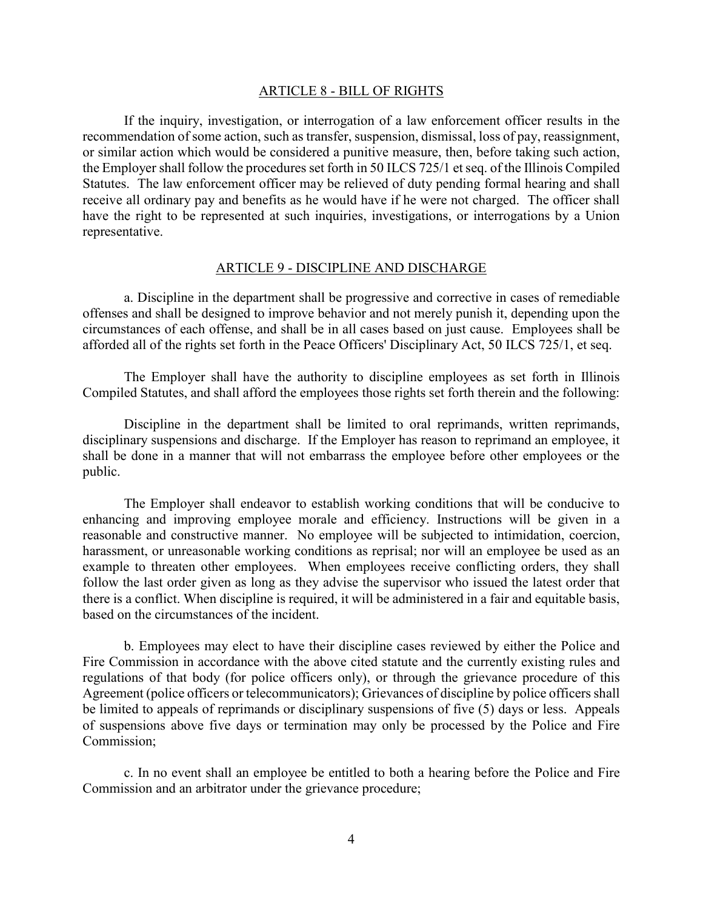#### ARTICLE 8 - BILL OF RIGHTS

If the inquiry, investigation, or interrogation of a law enforcement officer results in the recommendation of some action, such as transfer, suspension, dismissal, loss of pay, reassignment, or similar action which would be considered a punitive measure, then, before taking such action, the Employer shall follow the procedures set forth in 50 ILCS 725/1 et seq. of the Illinois Compiled Statutes. The law enforcement officer may be relieved of duty pending formal hearing and shall receive all ordinary pay and benefits as he would have if he were not charged. The officer shall have the right to be represented at such inquiries, investigations, or interrogations by a Union representative.

#### ARTICLE 9 - DISCIPLINE AND DISCHARGE

a. Discipline in the department shall be progressive and corrective in cases of remediable offenses and shall be designed to improve behavior and not merely punish it, depending upon the circumstances of each offense, and shall be in all cases based on just cause. Employees shall be afforded all of the rights set forth in the Peace Officers' Disciplinary Act, 50 ILCS 725/1, et seq.

The Employer shall have the authority to discipline employees as set forth in Illinois Compiled Statutes, and shall afford the employees those rights set forth therein and the following:

Discipline in the department shall be limited to oral reprimands, written reprimands, disciplinary suspensions and discharge. If the Employer has reason to reprimand an employee, it shall be done in a manner that will not embarrass the employee before other employees or the public.

The Employer shall endeavor to establish working conditions that will be conducive to enhancing and improving employee morale and efficiency. Instructions will be given in a reasonable and constructive manner. No employee will be subjected to intimidation, coercion, harassment, or unreasonable working conditions as reprisal; nor will an employee be used as an example to threaten other employees. When employees receive conflicting orders, they shall follow the last order given as long as they advise the supervisor who issued the latest order that there is a conflict. When discipline is required, it will be administered in a fair and equitable basis, based on the circumstances of the incident.

b. Employees may elect to have their discipline cases reviewed by either the Police and Fire Commission in accordance with the above cited statute and the currently existing rules and regulations of that body (for police officers only), or through the grievance procedure of this Agreement (police officers or telecommunicators); Grievances of discipline by police officers shall be limited to appeals of reprimands or disciplinary suspensions of five (5) days or less. Appeals of suspensions above five days or termination may only be processed by the Police and Fire Commission;

c. In no event shall an employee be entitled to both a hearing before the Police and Fire Commission and an arbitrator under the grievance procedure;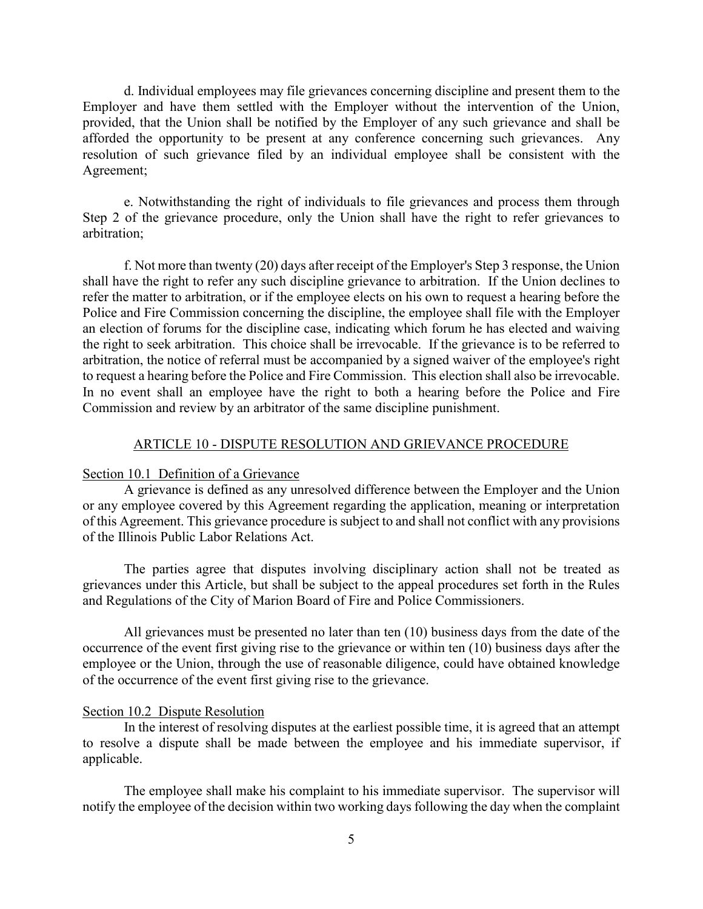d. Individual employees may file grievances concerning discipline and present them to the Employer and have them settled with the Employer without the intervention of the Union, provided, that the Union shall be notified by the Employer of any such grievance and shall be afforded the opportunity to be present at any conference concerning such grievances. Any resolution of such grievance filed by an individual employee shall be consistent with the Agreement;

e. Notwithstanding the right of individuals to file grievances and process them through Step 2 of the grievance procedure, only the Union shall have the right to refer grievances to arbitration;

f. Not more than twenty (20) days after receipt of the Employer's Step 3 response, the Union shall have the right to refer any such discipline grievance to arbitration. If the Union declines to refer the matter to arbitration, or if the employee elects on his own to request a hearing before the Police and Fire Commission concerning the discipline, the employee shall file with the Employer an election of forums for the discipline case, indicating which forum he has elected and waiving the right to seek arbitration. This choice shall be irrevocable. If the grievance is to be referred to arbitration, the notice of referral must be accompanied by a signed waiver of the employee's right to request a hearing before the Police and Fire Commission. This election shall also be irrevocable. In no event shall an employee have the right to both a hearing before the Police and Fire Commission and review by an arbitrator of the same discipline punishment.

#### ARTICLE 10 - DISPUTE RESOLUTION AND GRIEVANCE PROCEDURE

#### Section 10.1 Definition of a Grievance

A grievance is defined as any unresolved difference between the Employer and the Union or any employee covered by this Agreement regarding the application, meaning or interpretation of this Agreement. This grievance procedure is subject to and shall not conflict with any provisions of the Illinois Public Labor Relations Act.

The parties agree that disputes involving disciplinary action shall not be treated as grievances under this Article, but shall be subject to the appeal procedures set forth in the Rules and Regulations of the City of Marion Board of Fire and Police Commissioners.

All grievances must be presented no later than ten (10) business days from the date of the occurrence of the event first giving rise to the grievance or within ten (10) business days after the employee or the Union, through the use of reasonable diligence, could have obtained knowledge of the occurrence of the event first giving rise to the grievance.

#### Section 10.2 Dispute Resolution

In the interest of resolving disputes at the earliest possible time, it is agreed that an attempt to resolve a dispute shall be made between the employee and his immediate supervisor, if applicable.

The employee shall make his complaint to his immediate supervisor. The supervisor will notify the employee of the decision within two working days following the day when the complaint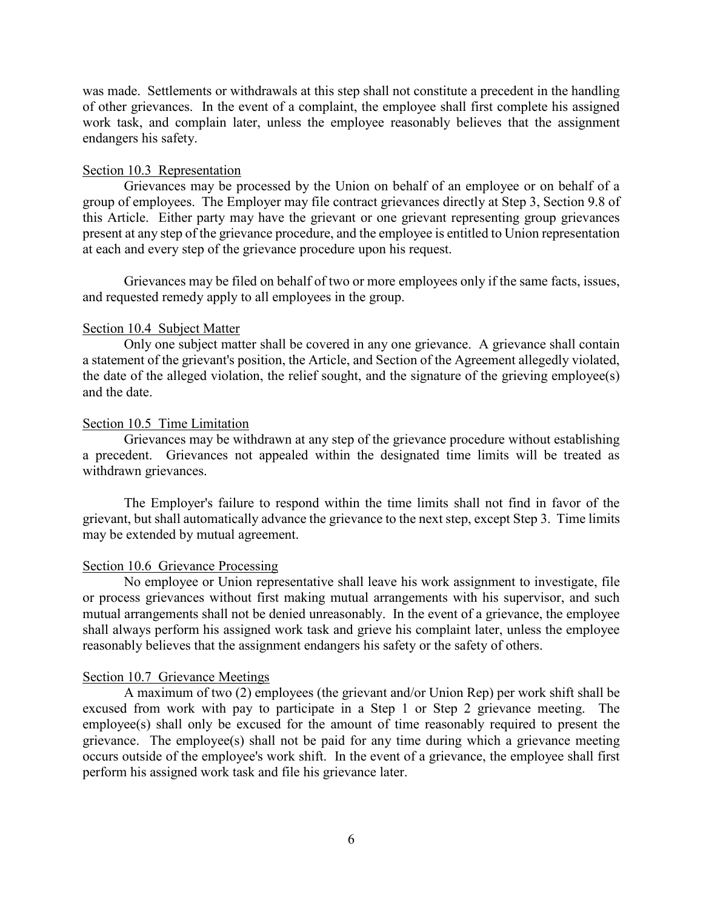was made. Settlements or withdrawals at this step shall not constitute a precedent in the handling of other grievances. In the event of a complaint, the employee shall first complete his assigned work task, and complain later, unless the employee reasonably believes that the assignment endangers his safety.

#### Section 10.3 Representation

Grievances may be processed by the Union on behalf of an employee or on behalf of a group of employees. The Employer may file contract grievances directly at Step 3, Section 9.8 of this Article. Either party may have the grievant or one grievant representing group grievances present at any step of the grievance procedure, and the employee is entitled to Union representation at each and every step of the grievance procedure upon his request.

Grievances may be filed on behalf of two or more employees only if the same facts, issues, and requested remedy apply to all employees in the group.

#### Section 10.4 Subject Matter

Only one subject matter shall be covered in any one grievance. A grievance shall contain a statement of the grievant's position, the Article, and Section of the Agreement allegedly violated, the date of the alleged violation, the relief sought, and the signature of the grieving employee(s) and the date.

#### Section 10.5 Time Limitation

Grievances may be withdrawn at any step of the grievance procedure without establishing a precedent. Grievances not appealed within the designated time limits will be treated as withdrawn grievances.

The Employer's failure to respond within the time limits shall not find in favor of the grievant, but shall automatically advance the grievance to the next step, except Step 3. Time limits may be extended by mutual agreement.

#### Section 10.6 Grievance Processing

No employee or Union representative shall leave his work assignment to investigate, file or process grievances without first making mutual arrangements with his supervisor, and such mutual arrangements shall not be denied unreasonably. In the event of a grievance, the employee shall always perform his assigned work task and grieve his complaint later, unless the employee reasonably believes that the assignment endangers his safety or the safety of others.

#### Section 10.7 Grievance Meetings

A maximum of two (2) employees (the grievant and/or Union Rep) per work shift shall be excused from work with pay to participate in a Step 1 or Step 2 grievance meeting. The employee(s) shall only be excused for the amount of time reasonably required to present the grievance. The employee(s) shall not be paid for any time during which a grievance meeting occurs outside of the employee's work shift. In the event of a grievance, the employee shall first perform his assigned work task and file his grievance later.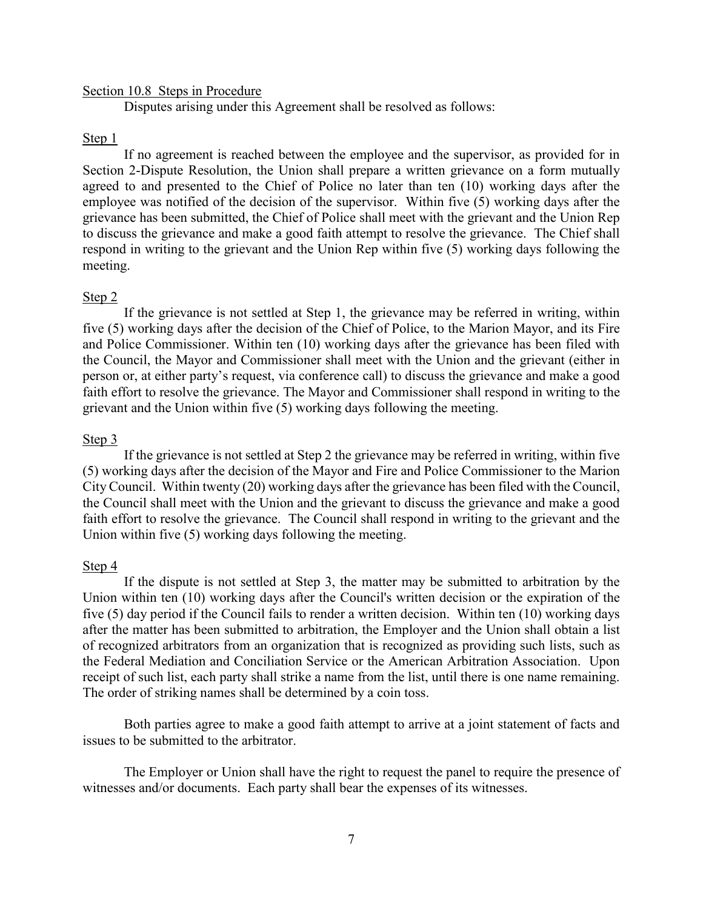#### Section 10.8 Steps in Procedure

Disputes arising under this Agreement shall be resolved as follows:

#### Step 1

If no agreement is reached between the employee and the supervisor, as provided for in Section 2-Dispute Resolution, the Union shall prepare a written grievance on a form mutually agreed to and presented to the Chief of Police no later than ten (10) working days after the employee was notified of the decision of the supervisor. Within five (5) working days after the grievance has been submitted, the Chief of Police shall meet with the grievant and the Union Rep to discuss the grievance and make a good faith attempt to resolve the grievance. The Chief shall respond in writing to the grievant and the Union Rep within five (5) working days following the meeting.

#### Step 2

If the grievance is not settled at Step 1, the grievance may be referred in writing, within five (5) working days after the decision of the Chief of Police, to the Marion Mayor, and its Fire and Police Commissioner. Within ten (10) working days after the grievance has been filed with the Council, the Mayor and Commissioner shall meet with the Union and the grievant (either in person or, at either party's request, via conference call) to discuss the grievance and make a good faith effort to resolve the grievance. The Mayor and Commissioner shall respond in writing to the grievant and the Union within five (5) working days following the meeting.

#### Step 3

If the grievance is not settled at Step 2 the grievance may be referred in writing, within five (5) working days after the decision of the Mayor and Fire and Police Commissioner to the Marion City Council. Within twenty (20) working days after the grievance has been filed with the Council, the Council shall meet with the Union and the grievant to discuss the grievance and make a good faith effort to resolve the grievance. The Council shall respond in writing to the grievant and the Union within five (5) working days following the meeting.

#### Step 4

If the dispute is not settled at Step 3, the matter may be submitted to arbitration by the Union within ten (10) working days after the Council's written decision or the expiration of the five (5) day period if the Council fails to render a written decision. Within ten (10) working days after the matter has been submitted to arbitration, the Employer and the Union shall obtain a list of recognized arbitrators from an organization that is recognized as providing such lists, such as the Federal Mediation and Conciliation Service or the American Arbitration Association. Upon receipt of such list, each party shall strike a name from the list, until there is one name remaining. The order of striking names shall be determined by a coin toss.

Both parties agree to make a good faith attempt to arrive at a joint statement of facts and issues to be submitted to the arbitrator.

The Employer or Union shall have the right to request the panel to require the presence of witnesses and/or documents. Each party shall bear the expenses of its witnesses.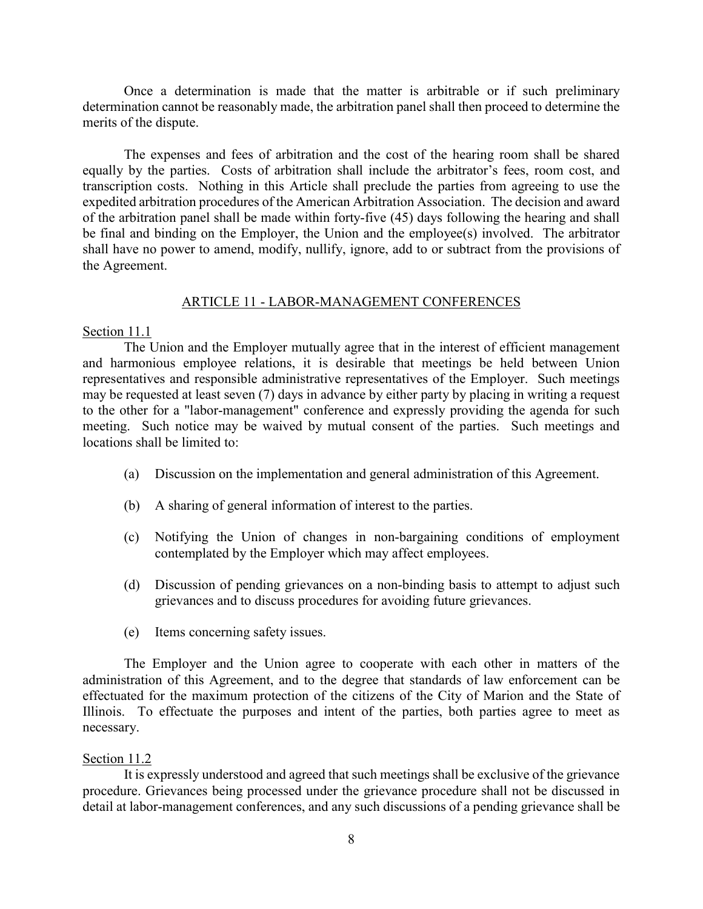Once a determination is made that the matter is arbitrable or if such preliminary determination cannot be reasonably made, the arbitration panel shall then proceed to determine the merits of the dispute.

The expenses and fees of arbitration and the cost of the hearing room shall be shared equally by the parties. Costs of arbitration shall include the arbitrator's fees, room cost, and transcription costs. Nothing in this Article shall preclude the parties from agreeing to use the expedited arbitration procedures of the American Arbitration Association. The decision and award of the arbitration panel shall be made within forty-five (45) days following the hearing and shall be final and binding on the Employer, the Union and the employee(s) involved. The arbitrator shall have no power to amend, modify, nullify, ignore, add to or subtract from the provisions of the Agreement.

#### ARTICLE 11 - LABOR-MANAGEMENT CONFERENCES

#### Section 11.1

 The Union and the Employer mutually agree that in the interest of efficient management and harmonious employee relations, it is desirable that meetings be held between Union representatives and responsible administrative representatives of the Employer. Such meetings may be requested at least seven (7) days in advance by either party by placing in writing a request to the other for a "labor-management" conference and expressly providing the agenda for such meeting. Such notice may be waived by mutual consent of the parties. Such meetings and locations shall be limited to:

- (a) Discussion on the implementation and general administration of this Agreement.
- (b) A sharing of general information of interest to the parties.
- (c) Notifying the Union of changes in non-bargaining conditions of employment contemplated by the Employer which may affect employees.
- (d) Discussion of pending grievances on a non-binding basis to attempt to adjust such grievances and to discuss procedures for avoiding future grievances.
- (e) Items concerning safety issues.

The Employer and the Union agree to cooperate with each other in matters of the administration of this Agreement, and to the degree that standards of law enforcement can be effectuated for the maximum protection of the citizens of the City of Marion and the State of Illinois. To effectuate the purposes and intent of the parties, both parties agree to meet as necessary.

#### Section 11.2

It is expressly understood and agreed that such meetings shall be exclusive of the grievance procedure. Grievances being processed under the grievance procedure shall not be discussed in detail at labor-management conferences, and any such discussions of a pending grievance shall be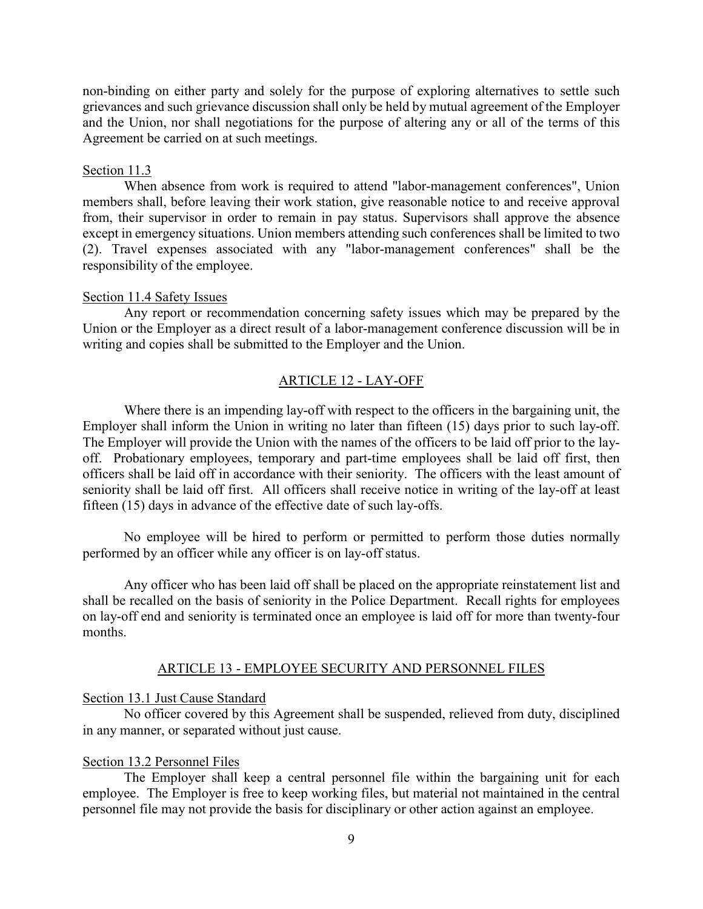non-binding on either party and solely for the purpose of exploring alternatives to settle such grievances and such grievance discussion shall only be held by mutual agreement of the Employer and the Union, nor shall negotiations for the purpose of altering any or all of the terms of this Agreement be carried on at such meetings.

#### Section 11.3

When absence from work is required to attend "labor-management conferences", Union members shall, before leaving their work station, give reasonable notice to and receive approval from, their supervisor in order to remain in pay status. Supervisors shall approve the absence except in emergency situations. Union members attending such conferences shall be limited to two (2). Travel expenses associated with any "labor-management conferences" shall be the responsibility of the employee.

#### Section 11.4 Safety Issues

Any report or recommendation concerning safety issues which may be prepared by the Union or the Employer as a direct result of a labor-management conference discussion will be in writing and copies shall be submitted to the Employer and the Union.

#### ARTICLE 12 - LAY-OFF

Where there is an impending lay-off with respect to the officers in the bargaining unit, the Employer shall inform the Union in writing no later than fifteen (15) days prior to such lay-off. The Employer will provide the Union with the names of the officers to be laid off prior to the layoff. Probationary employees, temporary and part-time employees shall be laid off first, then officers shall be laid off in accordance with their seniority. The officers with the least amount of seniority shall be laid off first. All officers shall receive notice in writing of the lay-off at least fifteen (15) days in advance of the effective date of such lay-offs.

No employee will be hired to perform or permitted to perform those duties normally performed by an officer while any officer is on lay-off status.

Any officer who has been laid off shall be placed on the appropriate reinstatement list and shall be recalled on the basis of seniority in the Police Department. Recall rights for employees on lay-off end and seniority is terminated once an employee is laid off for more than twenty-four months.

#### ARTICLE 13 - EMPLOYEE SECURITY AND PERSONNEL FILES

#### Section 13.1 Just Cause Standard

No officer covered by this Agreement shall be suspended, relieved from duty, disciplined in any manner, or separated without just cause.

#### Section 13.2 Personnel Files

The Employer shall keep a central personnel file within the bargaining unit for each employee. The Employer is free to keep working files, but material not maintained in the central personnel file may not provide the basis for disciplinary or other action against an employee.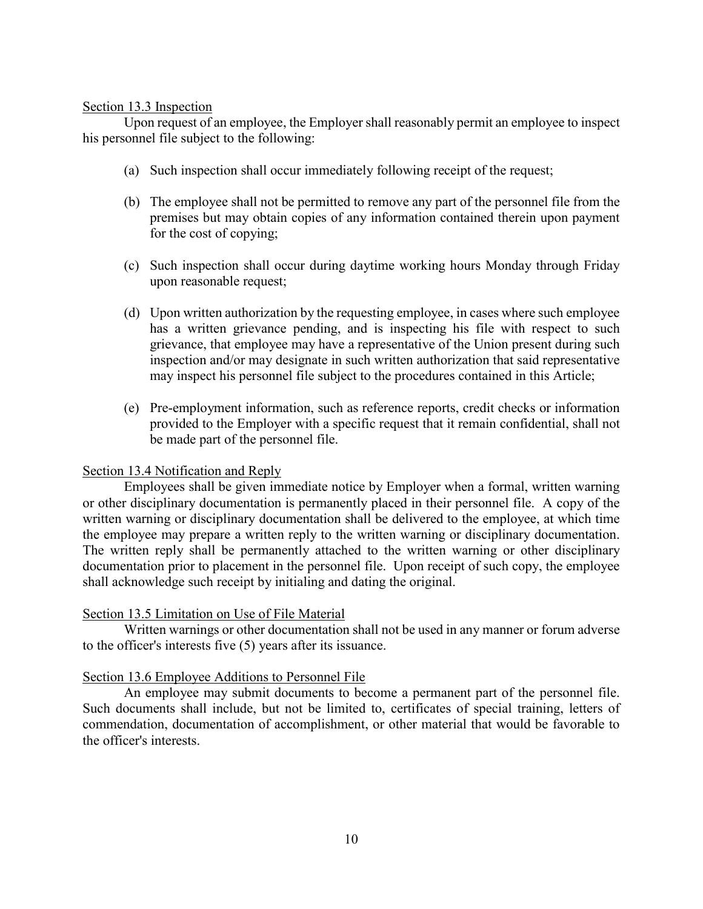#### Section 13.3 Inspection

Upon request of an employee, the Employer shall reasonably permit an employee to inspect his personnel file subject to the following:

- (a) Such inspection shall occur immediately following receipt of the request;
- (b) The employee shall not be permitted to remove any part of the personnel file from the premises but may obtain copies of any information contained therein upon payment for the cost of copying;
- (c) Such inspection shall occur during daytime working hours Monday through Friday upon reasonable request;
- (d) Upon written authorization by the requesting employee, in cases where such employee has a written grievance pending, and is inspecting his file with respect to such grievance, that employee may have a representative of the Union present during such inspection and/or may designate in such written authorization that said representative may inspect his personnel file subject to the procedures contained in this Article;
- (e) Pre-employment information, such as reference reports, credit checks or information provided to the Employer with a specific request that it remain confidential, shall not be made part of the personnel file.

#### Section 13.4 Notification and Reply

Employees shall be given immediate notice by Employer when a formal, written warning or other disciplinary documentation is permanently placed in their personnel file. A copy of the written warning or disciplinary documentation shall be delivered to the employee, at which time the employee may prepare a written reply to the written warning or disciplinary documentation. The written reply shall be permanently attached to the written warning or other disciplinary documentation prior to placement in the personnel file. Upon receipt of such copy, the employee shall acknowledge such receipt by initialing and dating the original.

#### Section 13.5 Limitation on Use of File Material

Written warnings or other documentation shall not be used in any manner or forum adverse to the officer's interests five (5) years after its issuance.

#### Section 13.6 Employee Additions to Personnel File

An employee may submit documents to become a permanent part of the personnel file. Such documents shall include, but not be limited to, certificates of special training, letters of commendation, documentation of accomplishment, or other material that would be favorable to the officer's interests.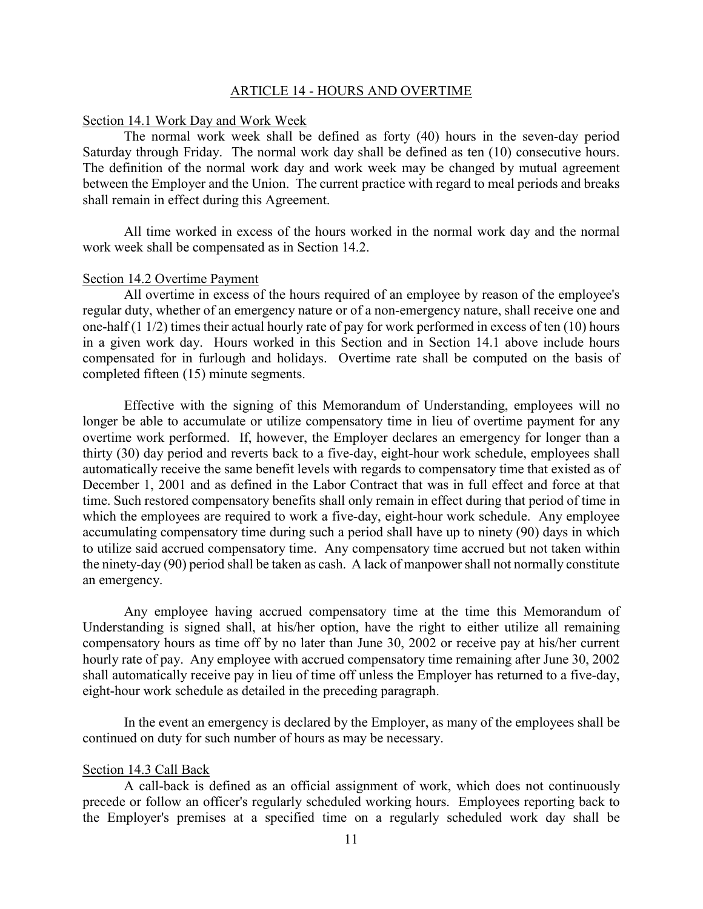#### ARTICLE 14 - HOURS AND OVERTIME

#### Section 14.1 Work Day and Work Week

The normal work week shall be defined as forty (40) hours in the seven-day period Saturday through Friday. The normal work day shall be defined as ten (10) consecutive hours. The definition of the normal work day and work week may be changed by mutual agreement between the Employer and the Union. The current practice with regard to meal periods and breaks shall remain in effect during this Agreement.

All time worked in excess of the hours worked in the normal work day and the normal work week shall be compensated as in Section 14.2.

#### Section 14.2 Overtime Payment

All overtime in excess of the hours required of an employee by reason of the employee's regular duty, whether of an emergency nature or of a non-emergency nature, shall receive one and one-half (1 1/2) times their actual hourly rate of pay for work performed in excess of ten (10) hours in a given work day. Hours worked in this Section and in Section 14.1 above include hours compensated for in furlough and holidays. Overtime rate shall be computed on the basis of completed fifteen (15) minute segments.

Effective with the signing of this Memorandum of Understanding, employees will no longer be able to accumulate or utilize compensatory time in lieu of overtime payment for any overtime work performed. If, however, the Employer declares an emergency for longer than a thirty (30) day period and reverts back to a five-day, eight-hour work schedule, employees shall automatically receive the same benefit levels with regards to compensatory time that existed as of December 1, 2001 and as defined in the Labor Contract that was in full effect and force at that time. Such restored compensatory benefits shall only remain in effect during that period of time in which the employees are required to work a five-day, eight-hour work schedule. Any employee accumulating compensatory time during such a period shall have up to ninety (90) days in which to utilize said accrued compensatory time. Any compensatory time accrued but not taken within the ninety-day (90) period shall be taken as cash. A lack of manpower shall not normally constitute an emergency.

Any employee having accrued compensatory time at the time this Memorandum of Understanding is signed shall, at his/her option, have the right to either utilize all remaining compensatory hours as time off by no later than June 30, 2002 or receive pay at his/her current hourly rate of pay. Any employee with accrued compensatory time remaining after June 30, 2002 shall automatically receive pay in lieu of time off unless the Employer has returned to a five-day, eight-hour work schedule as detailed in the preceding paragraph.

In the event an emergency is declared by the Employer, as many of the employees shall be continued on duty for such number of hours as may be necessary.

#### Section 14.3 Call Back

A call-back is defined as an official assignment of work, which does not continuously precede or follow an officer's regularly scheduled working hours. Employees reporting back to the Employer's premises at a specified time on a regularly scheduled work day shall be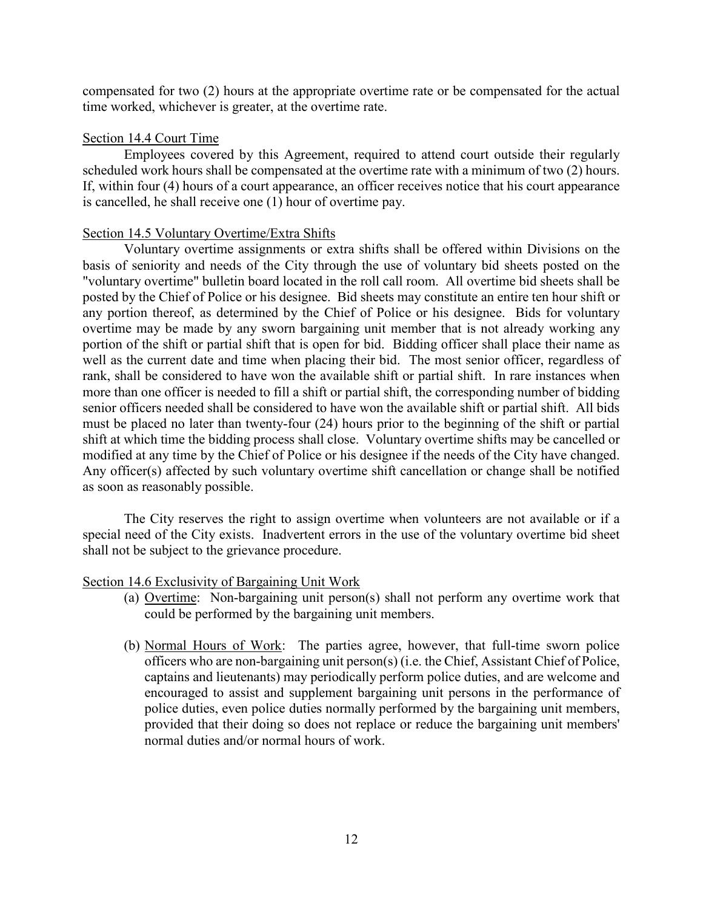compensated for two (2) hours at the appropriate overtime rate or be compensated for the actual time worked, whichever is greater, at the overtime rate.

#### Section 14.4 Court Time

Employees covered by this Agreement, required to attend court outside their regularly scheduled work hours shall be compensated at the overtime rate with a minimum of two (2) hours. If, within four (4) hours of a court appearance, an officer receives notice that his court appearance is cancelled, he shall receive one (1) hour of overtime pay.

#### Section 14.5 Voluntary Overtime/Extra Shifts

Voluntary overtime assignments or extra shifts shall be offered within Divisions on the basis of seniority and needs of the City through the use of voluntary bid sheets posted on the "voluntary overtime" bulletin board located in the roll call room. All overtime bid sheets shall be posted by the Chief of Police or his designee. Bid sheets may constitute an entire ten hour shift or any portion thereof, as determined by the Chief of Police or his designee. Bids for voluntary overtime may be made by any sworn bargaining unit member that is not already working any portion of the shift or partial shift that is open for bid. Bidding officer shall place their name as well as the current date and time when placing their bid. The most senior officer, regardless of rank, shall be considered to have won the available shift or partial shift. In rare instances when more than one officer is needed to fill a shift or partial shift, the corresponding number of bidding senior officers needed shall be considered to have won the available shift or partial shift. All bids must be placed no later than twenty-four (24) hours prior to the beginning of the shift or partial shift at which time the bidding process shall close. Voluntary overtime shifts may be cancelled or modified at any time by the Chief of Police or his designee if the needs of the City have changed. Any officer(s) affected by such voluntary overtime shift cancellation or change shall be notified as soon as reasonably possible.

The City reserves the right to assign overtime when volunteers are not available or if a special need of the City exists. Inadvertent errors in the use of the voluntary overtime bid sheet shall not be subject to the grievance procedure.

#### Section 14.6 Exclusivity of Bargaining Unit Work

- (a) Overtime: Non-bargaining unit person(s) shall not perform any overtime work that could be performed by the bargaining unit members.
- (b) Normal Hours of Work: The parties agree, however, that full-time sworn police officers who are non-bargaining unit person(s) (i.e. the Chief, Assistant Chief of Police, captains and lieutenants) may periodically perform police duties, and are welcome and encouraged to assist and supplement bargaining unit persons in the performance of police duties, even police duties normally performed by the bargaining unit members, provided that their doing so does not replace or reduce the bargaining unit members' normal duties and/or normal hours of work.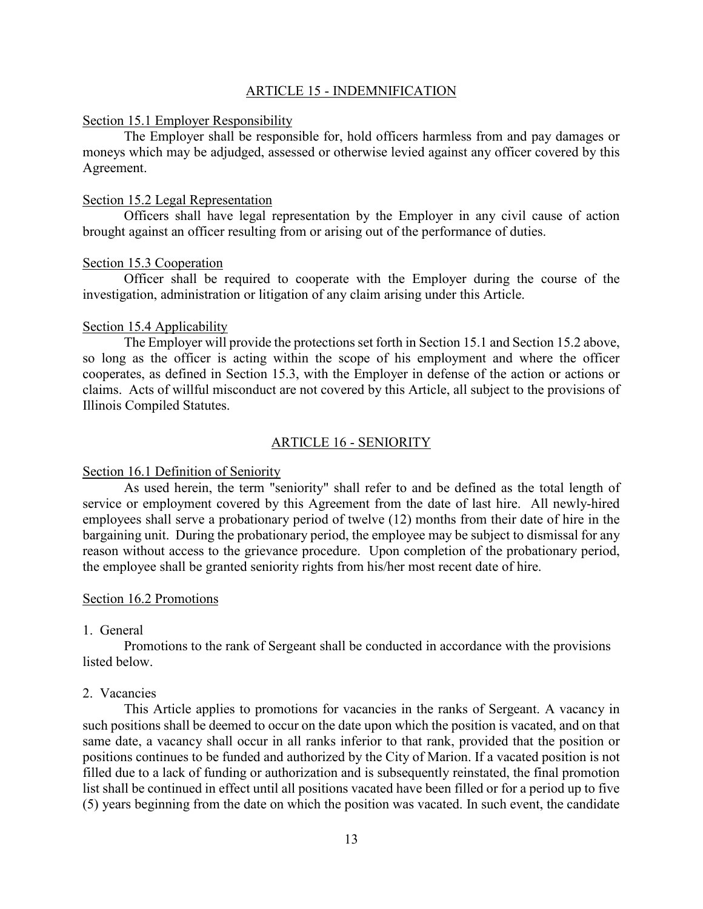#### ARTICLE 15 - INDEMNIFICATION

#### Section 15.1 Employer Responsibility

The Employer shall be responsible for, hold officers harmless from and pay damages or moneys which may be adjudged, assessed or otherwise levied against any officer covered by this Agreement.

#### Section 15.2 Legal Representation

Officers shall have legal representation by the Employer in any civil cause of action brought against an officer resulting from or arising out of the performance of duties.

#### Section 15.3 Cooperation

Officer shall be required to cooperate with the Employer during the course of the investigation, administration or litigation of any claim arising under this Article.

#### Section 15.4 Applicability

The Employer will provide the protections set forth in Section 15.1 and Section 15.2 above, so long as the officer is acting within the scope of his employment and where the officer cooperates, as defined in Section 15.3, with the Employer in defense of the action or actions or claims. Acts of willful misconduct are not covered by this Article, all subject to the provisions of Illinois Compiled Statutes.

#### ARTICLE 16 - SENIORITY

#### Section 16.1 Definition of Seniority

As used herein, the term "seniority" shall refer to and be defined as the total length of service or employment covered by this Agreement from the date of last hire. All newly-hired employees shall serve a probationary period of twelve (12) months from their date of hire in the bargaining unit. During the probationary period, the employee may be subject to dismissal for any reason without access to the grievance procedure. Upon completion of the probationary period, the employee shall be granted seniority rights from his/her most recent date of hire.

#### Section 16.2 Promotions

#### 1. General

Promotions to the rank of Sergeant shall be conducted in accordance with the provisions listed below.

#### 2. Vacancies

This Article applies to promotions for vacancies in the ranks of Sergeant. A vacancy in such positions shall be deemed to occur on the date upon which the position is vacated, and on that same date, a vacancy shall occur in all ranks inferior to that rank, provided that the position or positions continues to be funded and authorized by the City of Marion. If a vacated position is not filled due to a lack of funding or authorization and is subsequently reinstated, the final promotion list shall be continued in effect until all positions vacated have been filled or for a period up to five (5) years beginning from the date on which the position was vacated. In such event, the candidate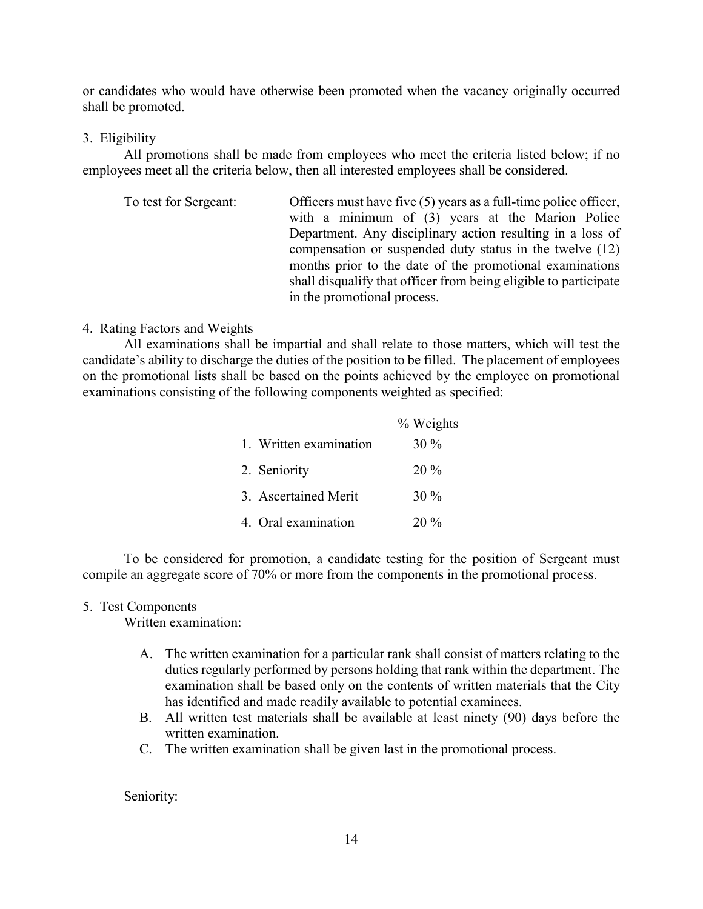or candidates who would have otherwise been promoted when the vacancy originally occurred shall be promoted.

#### 3. Eligibility

All promotions shall be made from employees who meet the criteria listed below; if no employees meet all the criteria below, then all interested employees shall be considered.

| To test for Sergeant: | Officers must have five (5) years as a full-time police officer, |
|-----------------------|------------------------------------------------------------------|
|                       | with a minimum of (3) years at the Marion Police                 |
|                       | Department. Any disciplinary action resulting in a loss of       |
|                       | compensation or suspended duty status in the twelve (12)         |
|                       | months prior to the date of the promotional examinations         |
|                       | shall disqualify that officer from being eligible to participate |
|                       | in the promotional process.                                      |

#### 4. Rating Factors and Weights

All examinations shall be impartial and shall relate to those matters, which will test the candidate's ability to discharge the duties of the position to be filled. The placement of employees on the promotional lists shall be based on the points achieved by the employee on promotional examinations consisting of the following components weighted as specified:

|                        | % Weights |
|------------------------|-----------|
| 1. Written examination | $30\%$    |
| 2. Seniority           | $20\%$    |
| 3. Ascertained Merit   | $30\%$    |
| 4. Oral examination    | $20\%$    |

To be considered for promotion, a candidate testing for the position of Sergeant must compile an aggregate score of 70% or more from the components in the promotional process.

#### 5. Test Components

Written examination:

- A. The written examination for a particular rank shall consist of matters relating to the duties regularly performed by persons holding that rank within the department. The examination shall be based only on the contents of written materials that the City has identified and made readily available to potential examinees.
- B. All written test materials shall be available at least ninety (90) days before the written examination.
- C. The written examination shall be given last in the promotional process.

Seniority: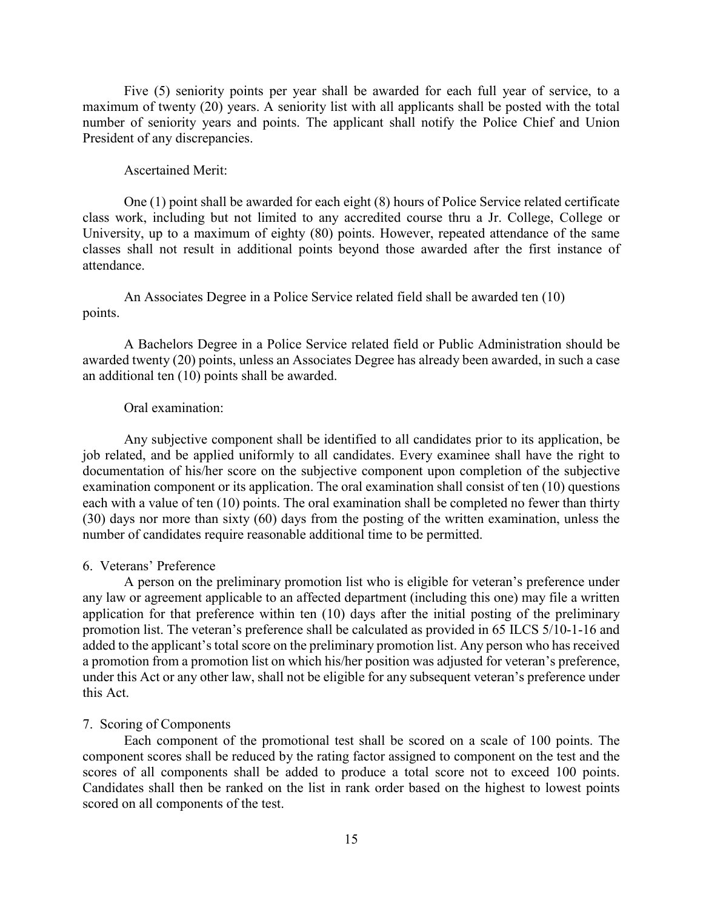Five (5) seniority points per year shall be awarded for each full year of service, to a maximum of twenty (20) years. A seniority list with all applicants shall be posted with the total number of seniority years and points. The applicant shall notify the Police Chief and Union President of any discrepancies.

#### Ascertained Merit:

One (1) point shall be awarded for each eight (8) hours of Police Service related certificate class work, including but not limited to any accredited course thru a Jr. College, College or University, up to a maximum of eighty (80) points. However, repeated attendance of the same classes shall not result in additional points beyond those awarded after the first instance of attendance.

An Associates Degree in a Police Service related field shall be awarded ten (10) points.

A Bachelors Degree in a Police Service related field or Public Administration should be awarded twenty (20) points, unless an Associates Degree has already been awarded, in such a case an additional ten (10) points shall be awarded.

#### Oral examination:

Any subjective component shall be identified to all candidates prior to its application, be job related, and be applied uniformly to all candidates. Every examinee shall have the right to documentation of his/her score on the subjective component upon completion of the subjective examination component or its application. The oral examination shall consist of ten (10) questions each with a value of ten (10) points. The oral examination shall be completed no fewer than thirty (30) days nor more than sixty (60) days from the posting of the written examination, unless the number of candidates require reasonable additional time to be permitted.

#### 6. Veterans' Preference

A person on the preliminary promotion list who is eligible for veteran's preference under any law or agreement applicable to an affected department (including this one) may file a written application for that preference within ten (10) days after the initial posting of the preliminary promotion list. The veteran's preference shall be calculated as provided in 65 ILCS 5/10-1-16 and added to the applicant's total score on the preliminary promotion list. Any person who has received a promotion from a promotion list on which his/her position was adjusted for veteran's preference, under this Act or any other law, shall not be eligible for any subsequent veteran's preference under this Act.

#### 7. Scoring of Components

Each component of the promotional test shall be scored on a scale of 100 points. The component scores shall be reduced by the rating factor assigned to component on the test and the scores of all components shall be added to produce a total score not to exceed 100 points. Candidates shall then be ranked on the list in rank order based on the highest to lowest points scored on all components of the test.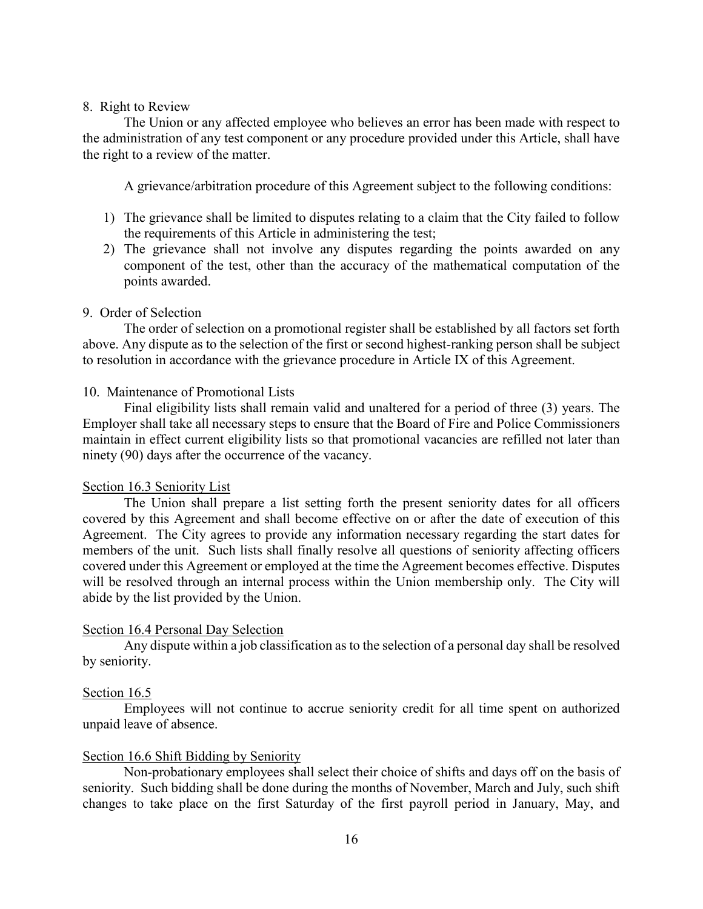#### 8. Right to Review

The Union or any affected employee who believes an error has been made with respect to the administration of any test component or any procedure provided under this Article, shall have the right to a review of the matter.

A grievance/arbitration procedure of this Agreement subject to the following conditions:

- 1) The grievance shall be limited to disputes relating to a claim that the City failed to follow the requirements of this Article in administering the test;
- 2) The grievance shall not involve any disputes regarding the points awarded on any component of the test, other than the accuracy of the mathematical computation of the points awarded.

#### 9. Order of Selection

The order of selection on a promotional register shall be established by all factors set forth above. Any dispute as to the selection of the first or second highest-ranking person shall be subject to resolution in accordance with the grievance procedure in Article IX of this Agreement.

#### 10. Maintenance of Promotional Lists

Final eligibility lists shall remain valid and unaltered for a period of three (3) years. The Employer shall take all necessary steps to ensure that the Board of Fire and Police Commissioners maintain in effect current eligibility lists so that promotional vacancies are refilled not later than ninety (90) days after the occurrence of the vacancy.

#### Section 16.3 Seniority List

The Union shall prepare a list setting forth the present seniority dates for all officers covered by this Agreement and shall become effective on or after the date of execution of this Agreement. The City agrees to provide any information necessary regarding the start dates for members of the unit. Such lists shall finally resolve all questions of seniority affecting officers covered under this Agreement or employed at the time the Agreement becomes effective. Disputes will be resolved through an internal process within the Union membership only. The City will abide by the list provided by the Union.

#### Section 16.4 Personal Day Selection

Any dispute within a job classification as to the selection of a personal day shall be resolved by seniority.

#### Section 16.5

Employees will not continue to accrue seniority credit for all time spent on authorized unpaid leave of absence.

#### Section 16.6 Shift Bidding by Seniority

Non-probationary employees shall select their choice of shifts and days off on the basis of seniority. Such bidding shall be done during the months of November, March and July, such shift changes to take place on the first Saturday of the first payroll period in January, May, and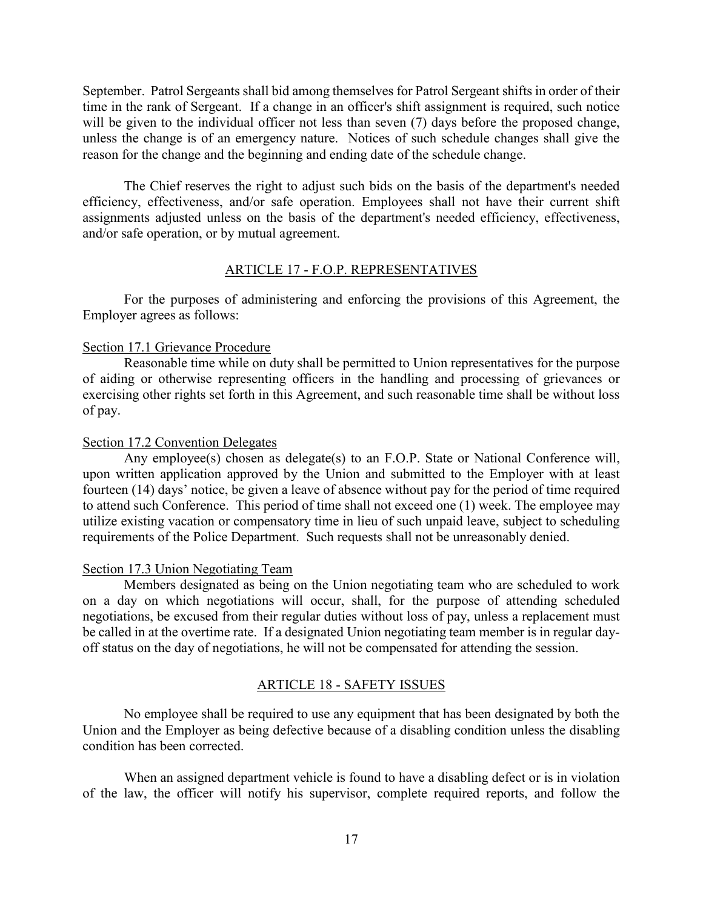September. Patrol Sergeants shall bid among themselves for Patrol Sergeant shifts in order of their time in the rank of Sergeant. If a change in an officer's shift assignment is required, such notice will be given to the individual officer not less than seven (7) days before the proposed change, unless the change is of an emergency nature. Notices of such schedule changes shall give the reason for the change and the beginning and ending date of the schedule change.

The Chief reserves the right to adjust such bids on the basis of the department's needed efficiency, effectiveness, and/or safe operation. Employees shall not have their current shift assignments adjusted unless on the basis of the department's needed efficiency, effectiveness, and/or safe operation, or by mutual agreement.

#### ARTICLE 17 - F.O.P. REPRESENTATIVES

For the purposes of administering and enforcing the provisions of this Agreement, the Employer agrees as follows:

#### Section 17.1 Grievance Procedure

Reasonable time while on duty shall be permitted to Union representatives for the purpose of aiding or otherwise representing officers in the handling and processing of grievances or exercising other rights set forth in this Agreement, and such reasonable time shall be without loss of pay.

#### Section 17.2 Convention Delegates

Any employee(s) chosen as delegate(s) to an F.O.P. State or National Conference will, upon written application approved by the Union and submitted to the Employer with at least fourteen (14) days' notice, be given a leave of absence without pay for the period of time required to attend such Conference. This period of time shall not exceed one (1) week. The employee may utilize existing vacation or compensatory time in lieu of such unpaid leave, subject to scheduling requirements of the Police Department. Such requests shall not be unreasonably denied.

#### Section 17.3 Union Negotiating Team

Members designated as being on the Union negotiating team who are scheduled to work on a day on which negotiations will occur, shall, for the purpose of attending scheduled negotiations, be excused from their regular duties without loss of pay, unless a replacement must be called in at the overtime rate. If a designated Union negotiating team member is in regular dayoff status on the day of negotiations, he will not be compensated for attending the session.

#### ARTICLE 18 - SAFETY ISSUES

No employee shall be required to use any equipment that has been designated by both the Union and the Employer as being defective because of a disabling condition unless the disabling condition has been corrected.

When an assigned department vehicle is found to have a disabling defect or is in violation of the law, the officer will notify his supervisor, complete required reports, and follow the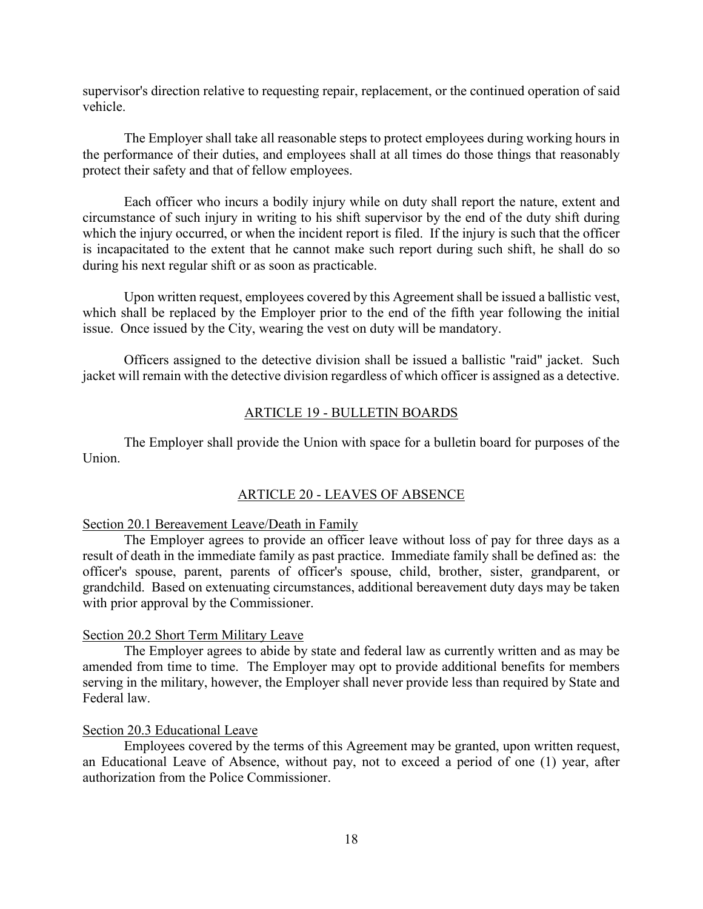supervisor's direction relative to requesting repair, replacement, or the continued operation of said vehicle.

The Employer shall take all reasonable steps to protect employees during working hours in the performance of their duties, and employees shall at all times do those things that reasonably protect their safety and that of fellow employees.

Each officer who incurs a bodily injury while on duty shall report the nature, extent and circumstance of such injury in writing to his shift supervisor by the end of the duty shift during which the injury occurred, or when the incident report is filed. If the injury is such that the officer is incapacitated to the extent that he cannot make such report during such shift, he shall do so during his next regular shift or as soon as practicable.

Upon written request, employees covered by this Agreement shall be issued a ballistic vest, which shall be replaced by the Employer prior to the end of the fifth year following the initial issue. Once issued by the City, wearing the vest on duty will be mandatory.

Officers assigned to the detective division shall be issued a ballistic "raid" jacket. Such jacket will remain with the detective division regardless of which officer is assigned as a detective.

#### ARTICLE 19 - BULLETIN BOARDS

The Employer shall provide the Union with space for a bulletin board for purposes of the Union.

#### ARTICLE 20 - LEAVES OF ABSENCE

#### Section 20.1 Bereavement Leave/Death in Family

The Employer agrees to provide an officer leave without loss of pay for three days as a result of death in the immediate family as past practice. Immediate family shall be defined as: the officer's spouse, parent, parents of officer's spouse, child, brother, sister, grandparent, or grandchild. Based on extenuating circumstances, additional bereavement duty days may be taken with prior approval by the Commissioner.

#### Section 20.2 Short Term Military Leave

The Employer agrees to abide by state and federal law as currently written and as may be amended from time to time. The Employer may opt to provide additional benefits for members serving in the military, however, the Employer shall never provide less than required by State and Federal law.

#### Section 20.3 Educational Leave

Employees covered by the terms of this Agreement may be granted, upon written request, an Educational Leave of Absence, without pay, not to exceed a period of one (1) year, after authorization from the Police Commissioner.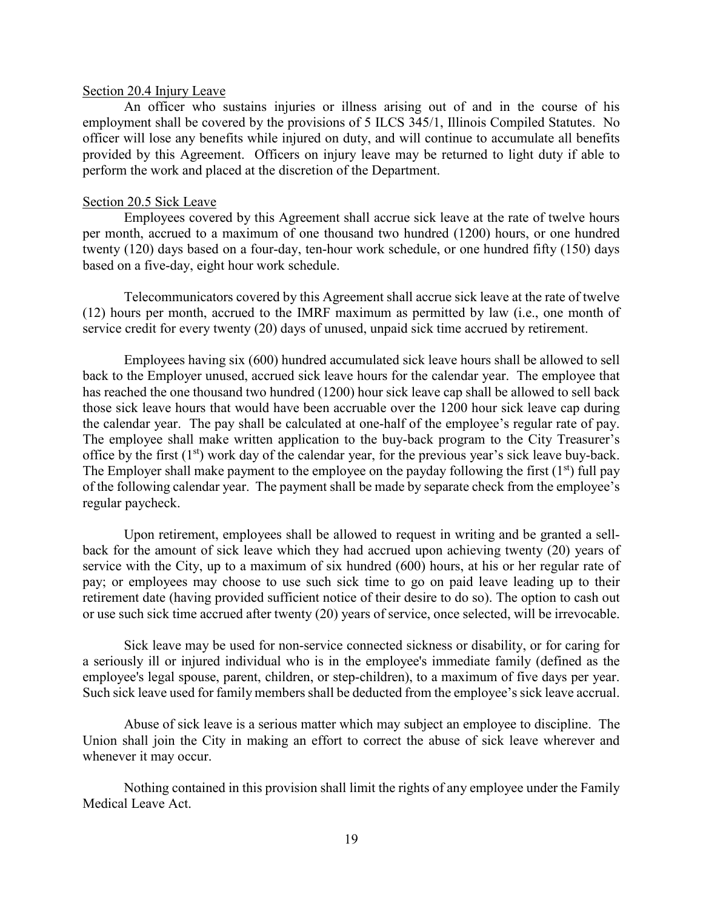#### Section 20.4 Injury Leave

An officer who sustains injuries or illness arising out of and in the course of his employment shall be covered by the provisions of 5 ILCS 345/1, Illinois Compiled Statutes. No officer will lose any benefits while injured on duty, and will continue to accumulate all benefits provided by this Agreement. Officers on injury leave may be returned to light duty if able to perform the work and placed at the discretion of the Department.

#### Section 20.5 Sick Leave

Employees covered by this Agreement shall accrue sick leave at the rate of twelve hours per month, accrued to a maximum of one thousand two hundred (1200) hours, or one hundred twenty (120) days based on a four-day, ten-hour work schedule, or one hundred fifty (150) days based on a five-day, eight hour work schedule.

Telecommunicators covered by this Agreement shall accrue sick leave at the rate of twelve (12) hours per month, accrued to the IMRF maximum as permitted by law (i.e., one month of service credit for every twenty (20) days of unused, unpaid sick time accrued by retirement.

Employees having six (600) hundred accumulated sick leave hours shall be allowed to sell back to the Employer unused, accrued sick leave hours for the calendar year. The employee that has reached the one thousand two hundred (1200) hour sick leave cap shall be allowed to sell back those sick leave hours that would have been accruable over the 1200 hour sick leave cap during the calendar year. The pay shall be calculated at one-half of the employee's regular rate of pay. The employee shall make written application to the buy-back program to the City Treasurer's office by the first  $(1<sup>st</sup>)$  work day of the calendar year, for the previous year's sick leave buy-back. The Employer shall make payment to the employee on the payday following the first  $(1<sup>st</sup>)$  full pay of the following calendar year. The payment shall be made by separate check from the employee's regular paycheck.

Upon retirement, employees shall be allowed to request in writing and be granted a sellback for the amount of sick leave which they had accrued upon achieving twenty (20) years of service with the City, up to a maximum of six hundred (600) hours, at his or her regular rate of pay; or employees may choose to use such sick time to go on paid leave leading up to their retirement date (having provided sufficient notice of their desire to do so). The option to cash out or use such sick time accrued after twenty (20) years of service, once selected, will be irrevocable.

Sick leave may be used for non-service connected sickness or disability, or for caring for a seriously ill or injured individual who is in the employee's immediate family (defined as the employee's legal spouse, parent, children, or step-children), to a maximum of five days per year. Such sick leave used for family members shall be deducted from the employee's sick leave accrual.

Abuse of sick leave is a serious matter which may subject an employee to discipline. The Union shall join the City in making an effort to correct the abuse of sick leave wherever and whenever it may occur.

Nothing contained in this provision shall limit the rights of any employee under the Family Medical Leave Act.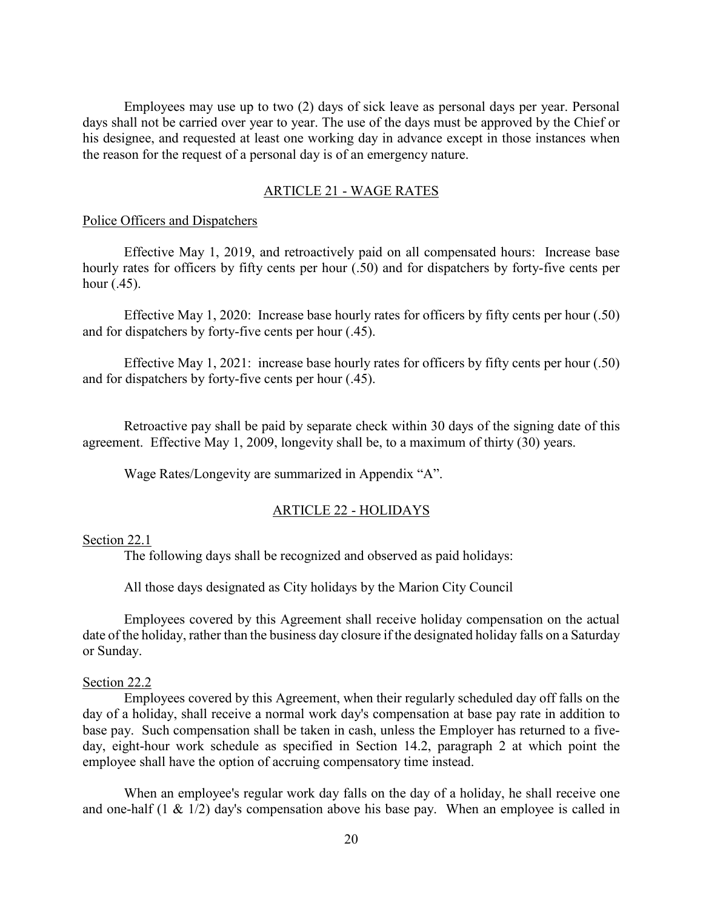Employees may use up to two (2) days of sick leave as personal days per year. Personal days shall not be carried over year to year. The use of the days must be approved by the Chief or his designee, and requested at least one working day in advance except in those instances when the reason for the request of a personal day is of an emergency nature.

#### ARTICLE 21 - WAGE RATES

#### Police Officers and Dispatchers

Effective May 1, 2019, and retroactively paid on all compensated hours: Increase base hourly rates for officers by fifty cents per hour (.50) and for dispatchers by forty-five cents per hour (.45).

Effective May 1, 2020: Increase base hourly rates for officers by fifty cents per hour (.50) and for dispatchers by forty-five cents per hour (.45).

Effective May 1, 2021: increase base hourly rates for officers by fifty cents per hour (.50) and for dispatchers by forty-five cents per hour (.45).

Retroactive pay shall be paid by separate check within 30 days of the signing date of this agreement. Effective May 1, 2009, longevity shall be, to a maximum of thirty (30) years.

Wage Rates/Longevity are summarized in Appendix "A".

#### ARTICLE 22 - HOLIDAYS

#### Section 22.1

The following days shall be recognized and observed as paid holidays:

All those days designated as City holidays by the Marion City Council

Employees covered by this Agreement shall receive holiday compensation on the actual date of the holiday, rather than the business day closure if the designated holiday falls on a Saturday or Sunday.

#### Section 22.2

Employees covered by this Agreement, when their regularly scheduled day off falls on the day of a holiday, shall receive a normal work day's compensation at base pay rate in addition to base pay. Such compensation shall be taken in cash, unless the Employer has returned to a fiveday, eight-hour work schedule as specified in Section 14.2, paragraph 2 at which point the employee shall have the option of accruing compensatory time instead.

When an employee's regular work day falls on the day of a holiday, he shall receive one and one-half (1 & 1/2) day's compensation above his base pay. When an employee is called in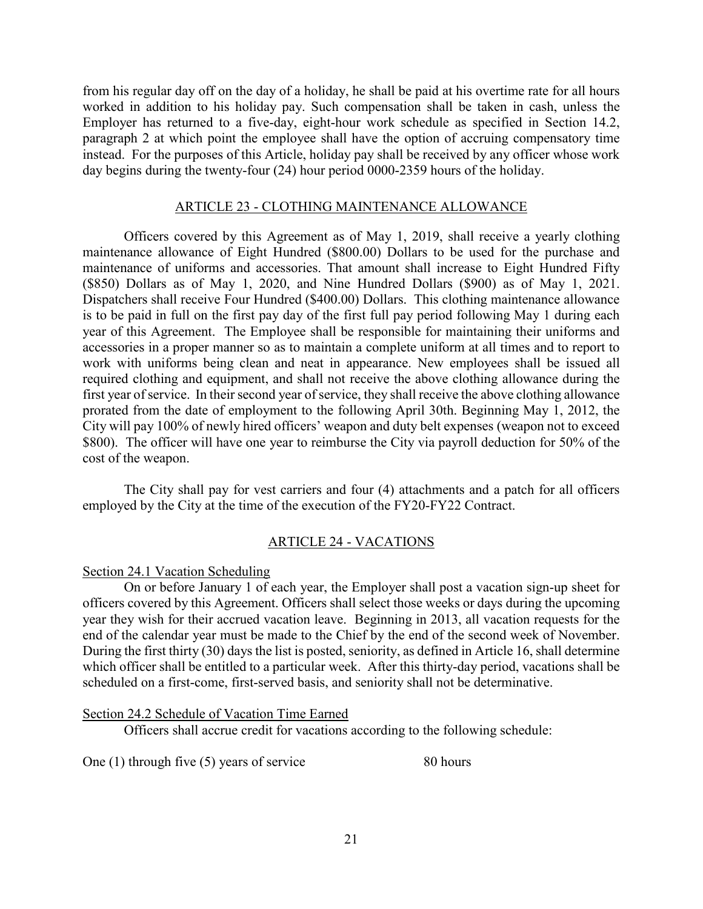from his regular day off on the day of a holiday, he shall be paid at his overtime rate for all hours worked in addition to his holiday pay. Such compensation shall be taken in cash, unless the Employer has returned to a five-day, eight-hour work schedule as specified in Section 14.2, paragraph 2 at which point the employee shall have the option of accruing compensatory time instead. For the purposes of this Article, holiday pay shall be received by any officer whose work day begins during the twenty-four (24) hour period 0000-2359 hours of the holiday.

#### ARTICLE 23 - CLOTHING MAINTENANCE ALLOWANCE

Officers covered by this Agreement as of May 1, 2019, shall receive a yearly clothing maintenance allowance of Eight Hundred (\$800.00) Dollars to be used for the purchase and maintenance of uniforms and accessories. That amount shall increase to Eight Hundred Fifty (\$850) Dollars as of May 1, 2020, and Nine Hundred Dollars (\$900) as of May 1, 2021. Dispatchers shall receive Four Hundred (\$400.00) Dollars. This clothing maintenance allowance is to be paid in full on the first pay day of the first full pay period following May 1 during each year of this Agreement. The Employee shall be responsible for maintaining their uniforms and accessories in a proper manner so as to maintain a complete uniform at all times and to report to work with uniforms being clean and neat in appearance. New employees shall be issued all required clothing and equipment, and shall not receive the above clothing allowance during the first year of service. In their second year of service, they shall receive the above clothing allowance prorated from the date of employment to the following April 30th. Beginning May 1, 2012, the City will pay 100% of newly hired officers' weapon and duty belt expenses (weapon not to exceed \$800). The officer will have one year to reimburse the City via payroll deduction for 50% of the cost of the weapon.

The City shall pay for vest carriers and four (4) attachments and a patch for all officers employed by the City at the time of the execution of the FY20-FY22 Contract.

#### ARTICLE 24 - VACATIONS

#### Section 24.1 Vacation Scheduling

On or before January 1 of each year, the Employer shall post a vacation sign-up sheet for officers covered by this Agreement. Officers shall select those weeks or days during the upcoming year they wish for their accrued vacation leave. Beginning in 2013, all vacation requests for the end of the calendar year must be made to the Chief by the end of the second week of November. During the first thirty (30) days the list is posted, seniority, as defined in Article 16, shall determine which officer shall be entitled to a particular week. After this thirty-day period, vacations shall be scheduled on a first-come, first-served basis, and seniority shall not be determinative.

Section 24.2 Schedule of Vacation Time Earned

Officers shall accrue credit for vacations according to the following schedule:

One (1) through five (5) years of service 80 hours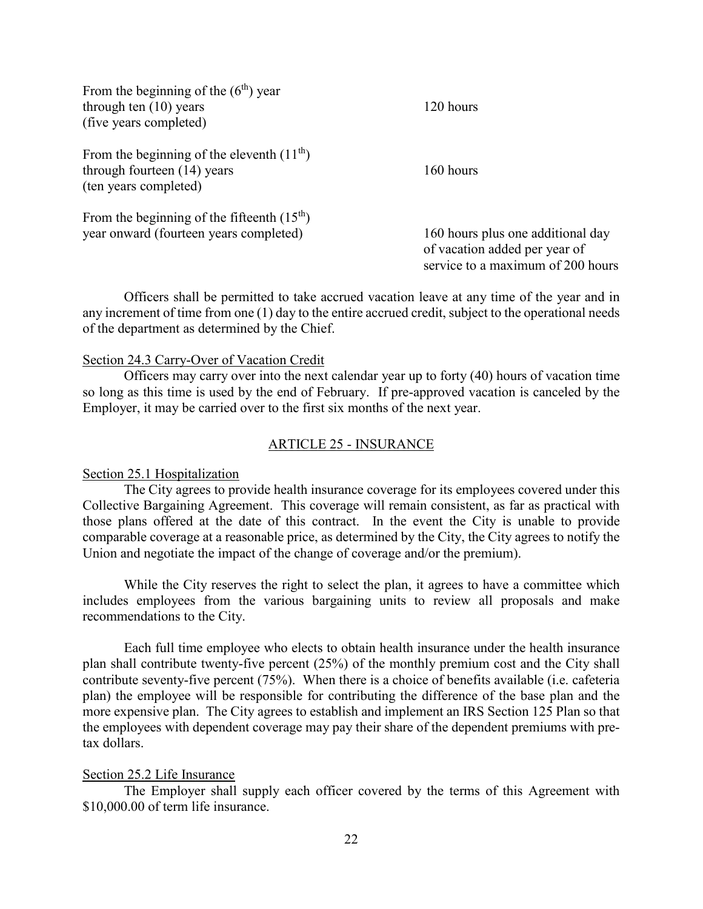| From the beginning of the $(6th)$ year<br>through ten $(10)$ years<br>(five years completed)        | 120 hours                                                                                               |
|-----------------------------------------------------------------------------------------------------|---------------------------------------------------------------------------------------------------------|
| From the beginning of the eleventh $(11th)$<br>through fourteen (14) years<br>(ten years completed) | 160 hours                                                                                               |
| From the beginning of the fifteenth $(15th)$<br>year onward (fourteen years completed)              | 160 hours plus one additional day<br>of vacation added per year of<br>service to a maximum of 200 hours |

Officers shall be permitted to take accrued vacation leave at any time of the year and in any increment of time from one (1) day to the entire accrued credit, subject to the operational needs of the department as determined by the Chief.

#### Section 24.3 Carry-Over of Vacation Credit

Officers may carry over into the next calendar year up to forty (40) hours of vacation time so long as this time is used by the end of February. If pre-approved vacation is canceled by the Employer, it may be carried over to the first six months of the next year.

#### ARTICLE 25 - INSURANCE

#### Section 25.1 Hospitalization

The City agrees to provide health insurance coverage for its employees covered under this Collective Bargaining Agreement. This coverage will remain consistent, as far as practical with those plans offered at the date of this contract. In the event the City is unable to provide comparable coverage at a reasonable price, as determined by the City, the City agrees to notify the Union and negotiate the impact of the change of coverage and/or the premium).

While the City reserves the right to select the plan, it agrees to have a committee which includes employees from the various bargaining units to review all proposals and make recommendations to the City.

Each full time employee who elects to obtain health insurance under the health insurance plan shall contribute twenty-five percent (25%) of the monthly premium cost and the City shall contribute seventy-five percent (75%). When there is a choice of benefits available (i.e. cafeteria plan) the employee will be responsible for contributing the difference of the base plan and the more expensive plan. The City agrees to establish and implement an IRS Section 125 Plan so that the employees with dependent coverage may pay their share of the dependent premiums with pretax dollars.

#### Section 25.2 Life Insurance

The Employer shall supply each officer covered by the terms of this Agreement with \$10,000.00 of term life insurance.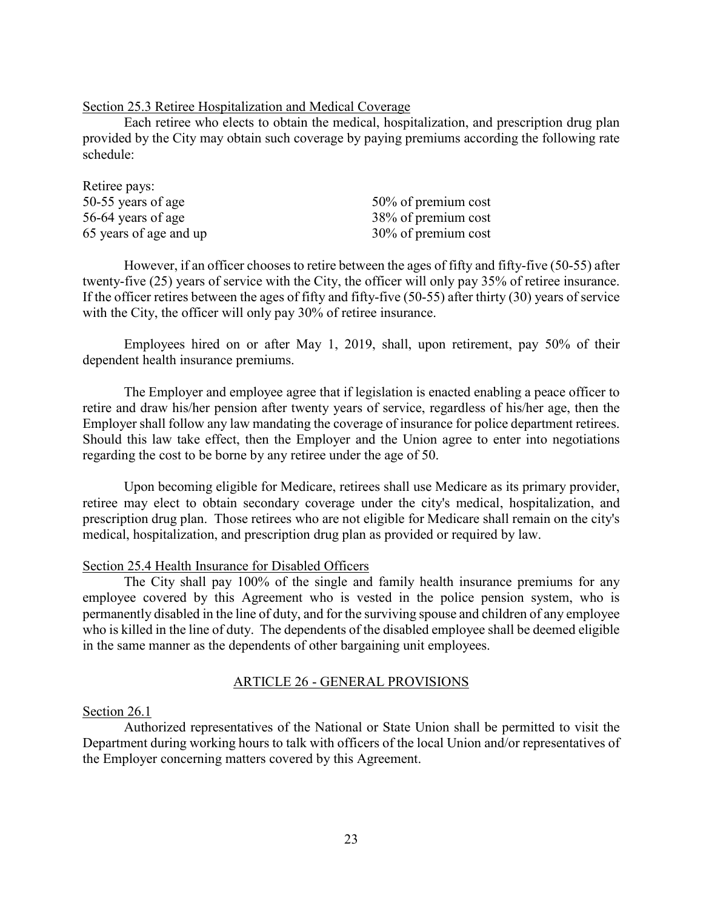Section 25.3 Retiree Hospitalization and Medical Coverage

Each retiree who elects to obtain the medical, hospitalization, and prescription drug plan provided by the City may obtain such coverage by paying premiums according the following rate schedule:

| Retiree pays:          |                     |
|------------------------|---------------------|
| 50-55 years of age     | 50% of premium cost |
| 56-64 years of age     | 38% of premium cost |
| 65 years of age and up | 30% of premium cost |

However, if an officer chooses to retire between the ages of fifty and fifty-five (50-55) after twenty-five (25) years of service with the City, the officer will only pay 35% of retiree insurance. If the officer retires between the ages of fifty and fifty-five (50-55) after thirty (30) years of service with the City, the officer will only pay 30% of retiree insurance.

Employees hired on or after May 1, 2019, shall, upon retirement, pay 50% of their dependent health insurance premiums.

The Employer and employee agree that if legislation is enacted enabling a peace officer to retire and draw his/her pension after twenty years of service, regardless of his/her age, then the Employer shall follow any law mandating the coverage of insurance for police department retirees. Should this law take effect, then the Employer and the Union agree to enter into negotiations regarding the cost to be borne by any retiree under the age of 50.

Upon becoming eligible for Medicare, retirees shall use Medicare as its primary provider, retiree may elect to obtain secondary coverage under the city's medical, hospitalization, and prescription drug plan. Those retirees who are not eligible for Medicare shall remain on the city's medical, hospitalization, and prescription drug plan as provided or required by law.

#### Section 25.4 Health Insurance for Disabled Officers

The City shall pay 100% of the single and family health insurance premiums for any employee covered by this Agreement who is vested in the police pension system, who is permanently disabled in the line of duty, and for the surviving spouse and children of any employee who is killed in the line of duty. The dependents of the disabled employee shall be deemed eligible in the same manner as the dependents of other bargaining unit employees.

#### ARTICLE 26 - GENERAL PROVISIONS

#### Section 26.1

Authorized representatives of the National or State Union shall be permitted to visit the Department during working hours to talk with officers of the local Union and/or representatives of the Employer concerning matters covered by this Agreement.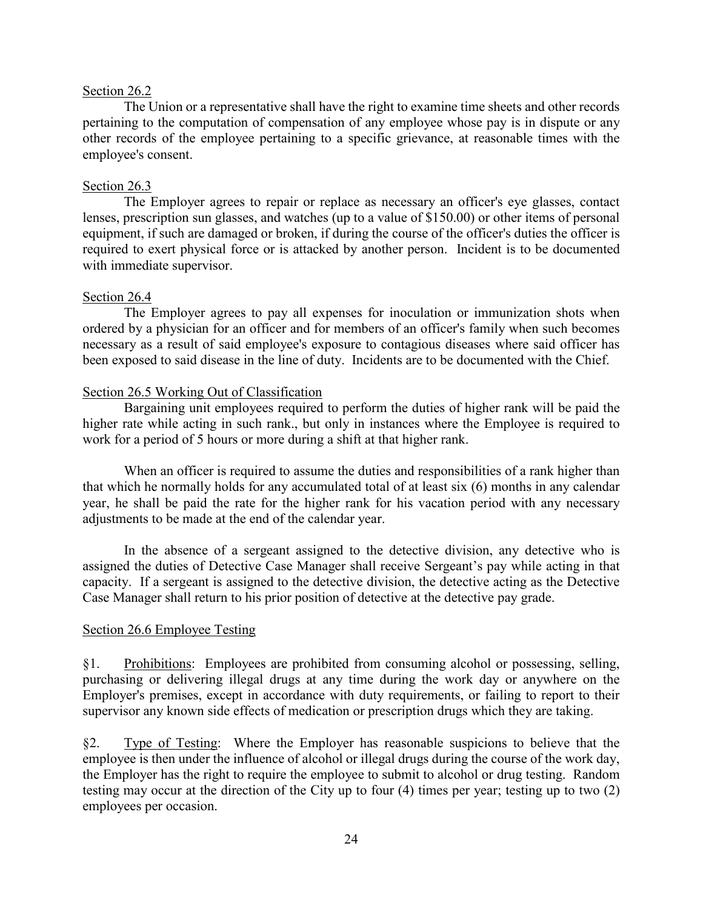#### Section 26.2

The Union or a representative shall have the right to examine time sheets and other records pertaining to the computation of compensation of any employee whose pay is in dispute or any other records of the employee pertaining to a specific grievance, at reasonable times with the employee's consent.

#### Section 26.3

The Employer agrees to repair or replace as necessary an officer's eye glasses, contact lenses, prescription sun glasses, and watches (up to a value of \$150.00) or other items of personal equipment, if such are damaged or broken, if during the course of the officer's duties the officer is required to exert physical force or is attacked by another person. Incident is to be documented with immediate supervisor.

#### Section 26.4

The Employer agrees to pay all expenses for inoculation or immunization shots when ordered by a physician for an officer and for members of an officer's family when such becomes necessary as a result of said employee's exposure to contagious diseases where said officer has been exposed to said disease in the line of duty. Incidents are to be documented with the Chief.

#### Section 26.5 Working Out of Classification

Bargaining unit employees required to perform the duties of higher rank will be paid the higher rate while acting in such rank., but only in instances where the Employee is required to work for a period of 5 hours or more during a shift at that higher rank.

When an officer is required to assume the duties and responsibilities of a rank higher than that which he normally holds for any accumulated total of at least six (6) months in any calendar year, he shall be paid the rate for the higher rank for his vacation period with any necessary adjustments to be made at the end of the calendar year.

In the absence of a sergeant assigned to the detective division, any detective who is assigned the duties of Detective Case Manager shall receive Sergeant's pay while acting in that capacity. If a sergeant is assigned to the detective division, the detective acting as the Detective Case Manager shall return to his prior position of detective at the detective pay grade.

#### Section 26.6 Employee Testing

§1. Prohibitions: Employees are prohibited from consuming alcohol or possessing, selling, purchasing or delivering illegal drugs at any time during the work day or anywhere on the Employer's premises, except in accordance with duty requirements, or failing to report to their supervisor any known side effects of medication or prescription drugs which they are taking.

§2. Type of Testing: Where the Employer has reasonable suspicions to believe that the employee is then under the influence of alcohol or illegal drugs during the course of the work day, the Employer has the right to require the employee to submit to alcohol or drug testing. Random testing may occur at the direction of the City up to four (4) times per year; testing up to two (2) employees per occasion.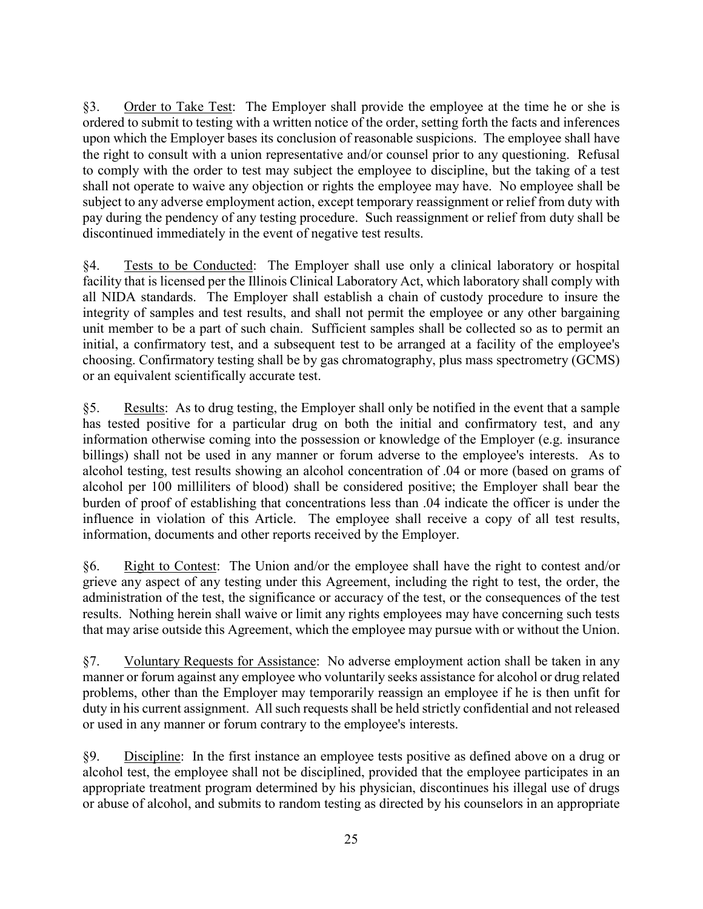§3. Order to Take Test: The Employer shall provide the employee at the time he or she is ordered to submit to testing with a written notice of the order, setting forth the facts and inferences upon which the Employer bases its conclusion of reasonable suspicions. The employee shall have the right to consult with a union representative and/or counsel prior to any questioning. Refusal to comply with the order to test may subject the employee to discipline, but the taking of a test shall not operate to waive any objection or rights the employee may have. No employee shall be subject to any adverse employment action, except temporary reassignment or relief from duty with pay during the pendency of any testing procedure. Such reassignment or relief from duty shall be discontinued immediately in the event of negative test results.

§4. Tests to be Conducted: The Employer shall use only a clinical laboratory or hospital facility that is licensed per the Illinois Clinical Laboratory Act, which laboratory shall comply with all NIDA standards. The Employer shall establish a chain of custody procedure to insure the integrity of samples and test results, and shall not permit the employee or any other bargaining unit member to be a part of such chain. Sufficient samples shall be collected so as to permit an initial, a confirmatory test, and a subsequent test to be arranged at a facility of the employee's choosing. Confirmatory testing shall be by gas chromatography, plus mass spectrometry (GCMS) or an equivalent scientifically accurate test.

§5. Results: As to drug testing, the Employer shall only be notified in the event that a sample has tested positive for a particular drug on both the initial and confirmatory test, and any information otherwise coming into the possession or knowledge of the Employer (e.g. insurance billings) shall not be used in any manner or forum adverse to the employee's interests. As to alcohol testing, test results showing an alcohol concentration of .04 or more (based on grams of alcohol per 100 milliliters of blood) shall be considered positive; the Employer shall bear the burden of proof of establishing that concentrations less than .04 indicate the officer is under the influence in violation of this Article. The employee shall receive a copy of all test results, information, documents and other reports received by the Employer.

§6. Right to Contest: The Union and/or the employee shall have the right to contest and/or grieve any aspect of any testing under this Agreement, including the right to test, the order, the administration of the test, the significance or accuracy of the test, or the consequences of the test results. Nothing herein shall waive or limit any rights employees may have concerning such tests that may arise outside this Agreement, which the employee may pursue with or without the Union.

§7. Voluntary Requests for Assistance: No adverse employment action shall be taken in any manner or forum against any employee who voluntarily seeks assistance for alcohol or drug related problems, other than the Employer may temporarily reassign an employee if he is then unfit for duty in his current assignment. All such requests shall be held strictly confidential and not released or used in any manner or forum contrary to the employee's interests.

§9. Discipline: In the first instance an employee tests positive as defined above on a drug or alcohol test, the employee shall not be disciplined, provided that the employee participates in an appropriate treatment program determined by his physician, discontinues his illegal use of drugs or abuse of alcohol, and submits to random testing as directed by his counselors in an appropriate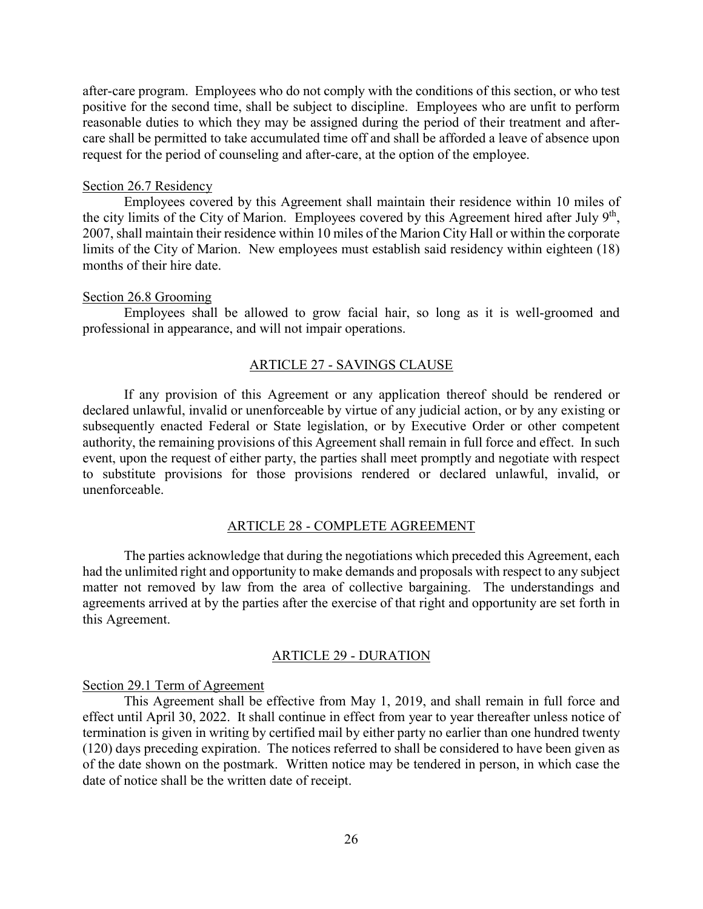after-care program. Employees who do not comply with the conditions of this section, or who test positive for the second time, shall be subject to discipline. Employees who are unfit to perform reasonable duties to which they may be assigned during the period of their treatment and aftercare shall be permitted to take accumulated time off and shall be afforded a leave of absence upon request for the period of counseling and after-care, at the option of the employee.

#### Section 26.7 Residency

Employees covered by this Agreement shall maintain their residence within 10 miles of the city limits of the City of Marion. Employees covered by this Agreement hired after July 9<sup>th</sup>, 2007, shall maintain their residence within 10 miles of the Marion City Hall or within the corporate limits of the City of Marion. New employees must establish said residency within eighteen (18) months of their hire date.

#### Section 26.8 Grooming

Employees shall be allowed to grow facial hair, so long as it is well-groomed and professional in appearance, and will not impair operations.

#### ARTICLE 27 - SAVINGS CLAUSE

If any provision of this Agreement or any application thereof should be rendered or declared unlawful, invalid or unenforceable by virtue of any judicial action, or by any existing or subsequently enacted Federal or State legislation, or by Executive Order or other competent authority, the remaining provisions of this Agreement shall remain in full force and effect. In such event, upon the request of either party, the parties shall meet promptly and negotiate with respect to substitute provisions for those provisions rendered or declared unlawful, invalid, or unenforceable.

#### ARTICLE 28 - COMPLETE AGREEMENT

The parties acknowledge that during the negotiations which preceded this Agreement, each had the unlimited right and opportunity to make demands and proposals with respect to any subject matter not removed by law from the area of collective bargaining. The understandings and agreements arrived at by the parties after the exercise of that right and opportunity are set forth in this Agreement.

#### ARTICLE 29 - DURATION

#### Section 29.1 Term of Agreement

This Agreement shall be effective from May 1, 2019, and shall remain in full force and effect until April 30, 2022. It shall continue in effect from year to year thereafter unless notice of termination is given in writing by certified mail by either party no earlier than one hundred twenty (120) days preceding expiration. The notices referred to shall be considered to have been given as of the date shown on the postmark. Written notice may be tendered in person, in which case the date of notice shall be the written date of receipt.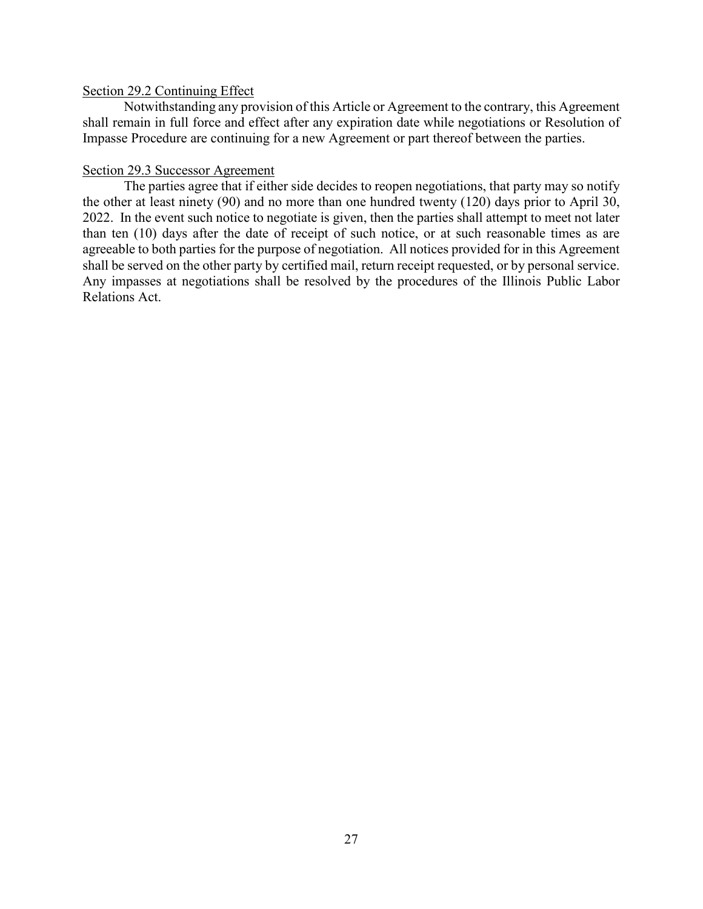#### Section 29.2 Continuing Effect

Notwithstanding any provision of this Article or Agreement to the contrary, this Agreement shall remain in full force and effect after any expiration date while negotiations or Resolution of Impasse Procedure are continuing for a new Agreement or part thereof between the parties.

#### Section 29.3 Successor Agreement

The parties agree that if either side decides to reopen negotiations, that party may so notify the other at least ninety (90) and no more than one hundred twenty (120) days prior to April 30, 2022. In the event such notice to negotiate is given, then the parties shall attempt to meet not later than ten (10) days after the date of receipt of such notice, or at such reasonable times as are agreeable to both parties for the purpose of negotiation. All notices provided for in this Agreement shall be served on the other party by certified mail, return receipt requested, or by personal service. Any impasses at negotiations shall be resolved by the procedures of the Illinois Public Labor Relations Act.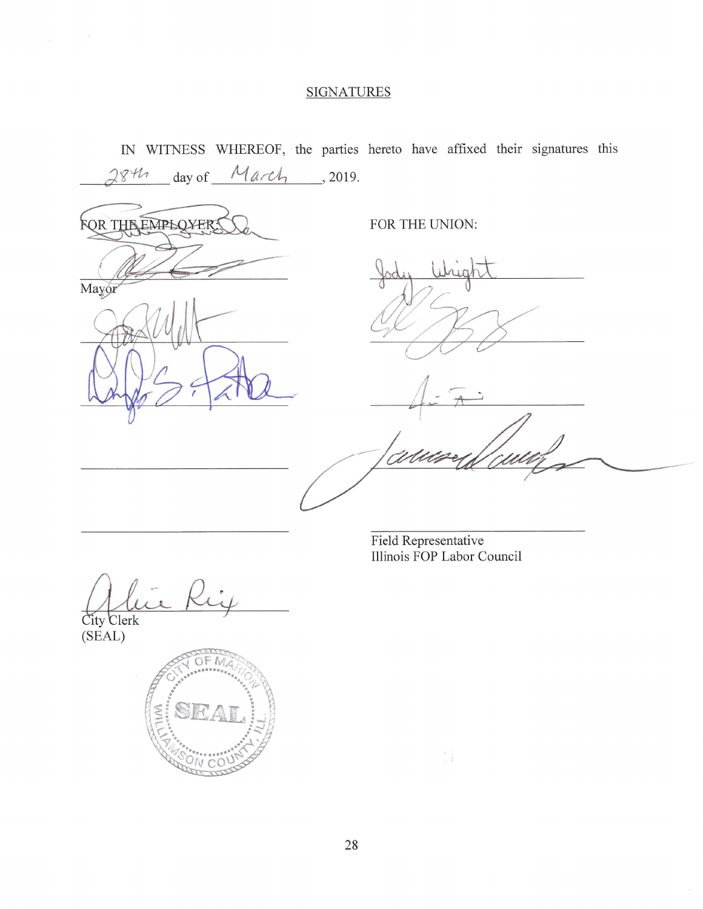#### **SIGNATURES**

IN WITNESS WHEREOF, the parties hereto have affixed their signatures this

 $_ days$  of  $_ 14. c4$ , 2019.  $844$ FOR THE EMPLOYER! FOR THE UNION: Mayor

Field Representative Illinois FOP Labor Council

 $\frac{1}{2}$ 

City Clerk<br>(SEAL)

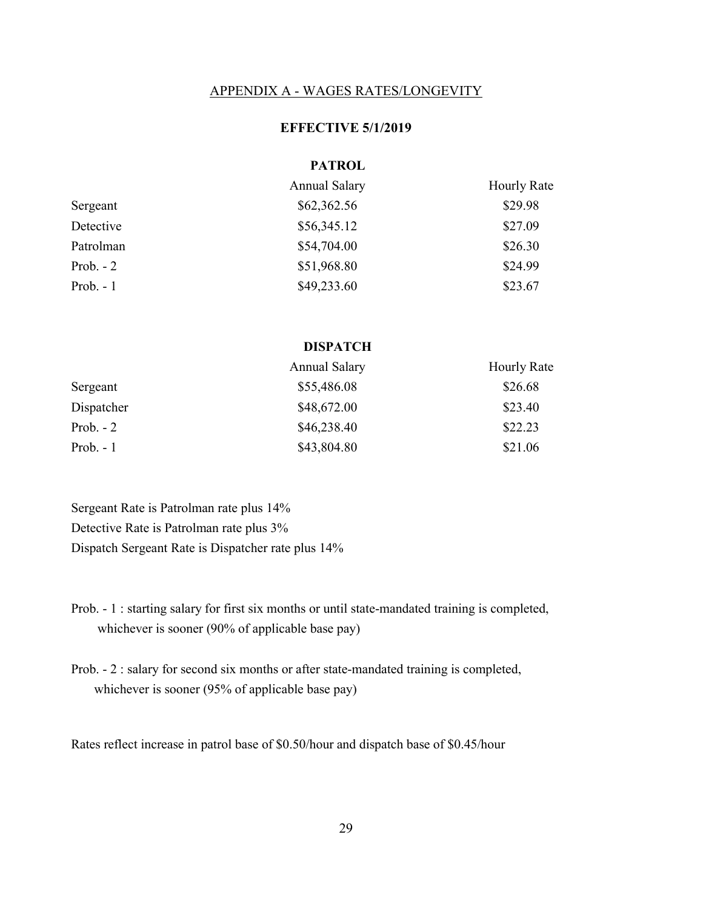#### APPENDIX A - WAGES RATES/LONGEVITY

#### **EFFECTIVE 5/1/2019**

#### **PATROL**

|            | Annual Salary | <b>Hourly Rate</b> |
|------------|---------------|--------------------|
| Sergeant   | \$62,362.56   | \$29.98            |
| Detective  | \$56,345.12   | \$27.09            |
| Patrolman  | \$54,704.00   | \$26.30            |
| Prob. $-2$ | \$51,968.80   | \$24.99            |
| Prob. $-1$ | \$49,233.60   | \$23.67            |

#### **DISPATCH**

|            | <b>Annual Salary</b> | <b>Hourly Rate</b> |
|------------|----------------------|--------------------|
| Sergeant   | \$55,486.08          | \$26.68            |
| Dispatcher | \$48,672.00          | \$23.40            |
| Prob. $-2$ | \$46,238.40          | \$22.23            |
| Prob. $-1$ | \$43,804.80          | \$21.06            |

Sergeant Rate is Patrolman rate plus 14% Detective Rate is Patrolman rate plus 3% Dispatch Sergeant Rate is Dispatcher rate plus 14%

Prob. - 1 : starting salary for first six months or until state-mandated training is completed, whichever is sooner (90% of applicable base pay)

Prob. - 2 : salary for second six months or after state-mandated training is completed, whichever is sooner (95% of applicable base pay)

Rates reflect increase in patrol base of \$0.50/hour and dispatch base of \$0.45/hour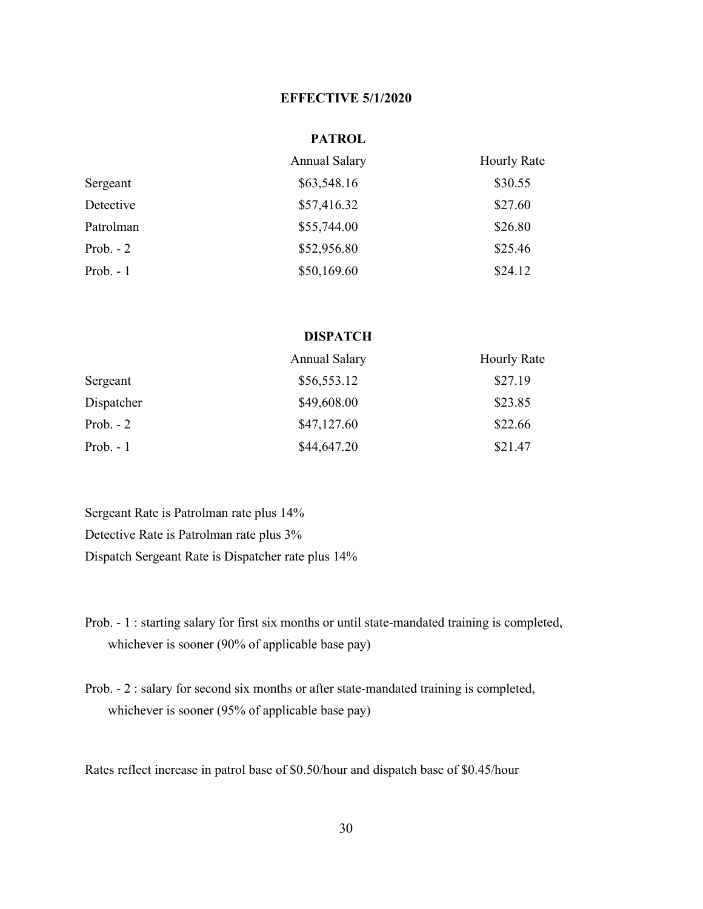#### **EFFECTIVE 5/1/2020**

#### **PATROL**

|            | Annual Salary | <b>Hourly Rate</b> |
|------------|---------------|--------------------|
| Sergeant   | \$63,548.16   | \$30.55            |
| Detective  | \$57,416.32   | \$27.60            |
| Patrolman  | \$55,744.00   | \$26.80            |
| Prob. $-2$ | \$52,956.80   | \$25.46            |
| Prob. $-1$ | \$50,169.60   | \$24.12            |

#### **DISPATCH**

|            | Annual Salary | <b>Hourly Rate</b> |
|------------|---------------|--------------------|
| Sergeant   | \$56,553.12   | \$27.19            |
| Dispatcher | \$49,608.00   | \$23.85            |
| Prob. $-2$ | \$47,127.60   | \$22.66            |
| Prob. $-1$ | \$44,647.20   | \$21.47            |

Sergeant Rate is Patrolman rate plus 14% Detective Rate is Patrolman rate plus 3% Dispatch Sergeant Rate is Dispatcher rate plus 14%

- Prob. 1 : starting salary for first six months or until state-mandated training is completed, whichever is sooner (90% of applicable base pay)
- Prob. 2 : salary for second six months or after state-mandated training is completed, whichever is sooner (95% of applicable base pay)

Rates reflect increase in patrol base of \$0.50/hour and dispatch base of \$0.45/hour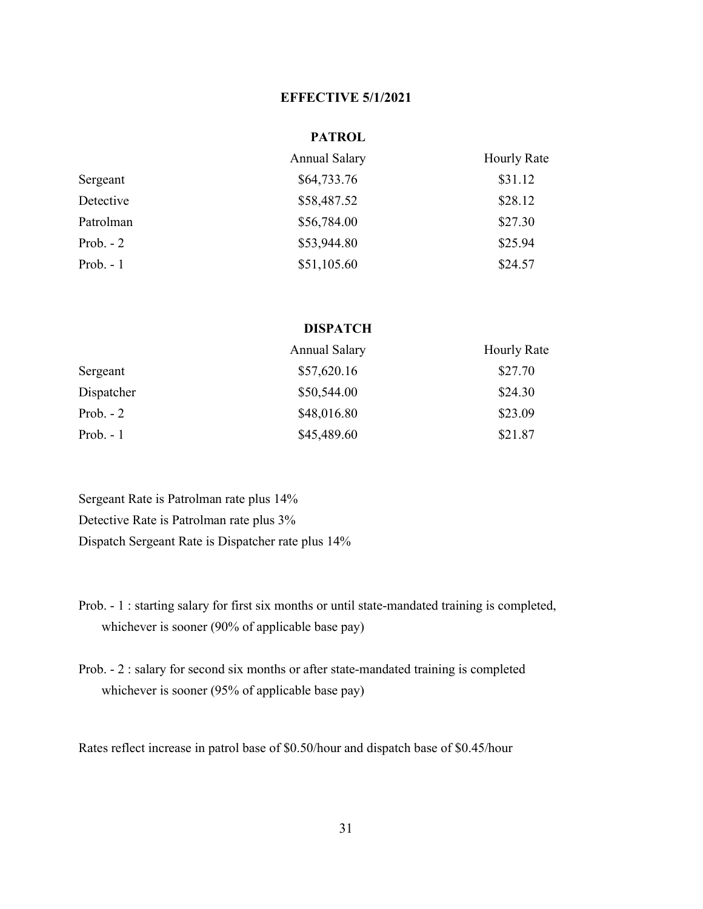#### **EFFECTIVE 5/1/2021**

#### **PATROL**

|            | <b>Annual Salary</b> | <b>Hourly Rate</b> |
|------------|----------------------|--------------------|
| Sergeant   | \$64,733.76          | \$31.12            |
| Detective  | \$58,487.52          | \$28.12            |
| Patrolman  | \$56,784.00          | \$27.30            |
| Prob. $-2$ | \$53,944.80          | \$25.94            |
| Prob. $-1$ | \$51,105.60          | \$24.57            |

#### **DISPATCH**

|            | <b>Annual Salary</b> | Hourly Rate |
|------------|----------------------|-------------|
| Sergeant   | \$57,620.16          | \$27.70     |
| Dispatcher | \$50,544.00          | \$24.30     |
| Prob. $-2$ | \$48,016.80          | \$23.09     |
| Prob. $-1$ | \$45,489.60          | \$21.87     |

Sergeant Rate is Patrolman rate plus 14% Detective Rate is Patrolman rate plus 3% Dispatch Sergeant Rate is Dispatcher rate plus 14%

- Prob. 1 : starting salary for first six months or until state-mandated training is completed, whichever is sooner (90% of applicable base pay)
- Prob. 2 : salary for second six months or after state-mandated training is completed whichever is sooner (95% of applicable base pay)

Rates reflect increase in patrol base of \$0.50/hour and dispatch base of \$0.45/hour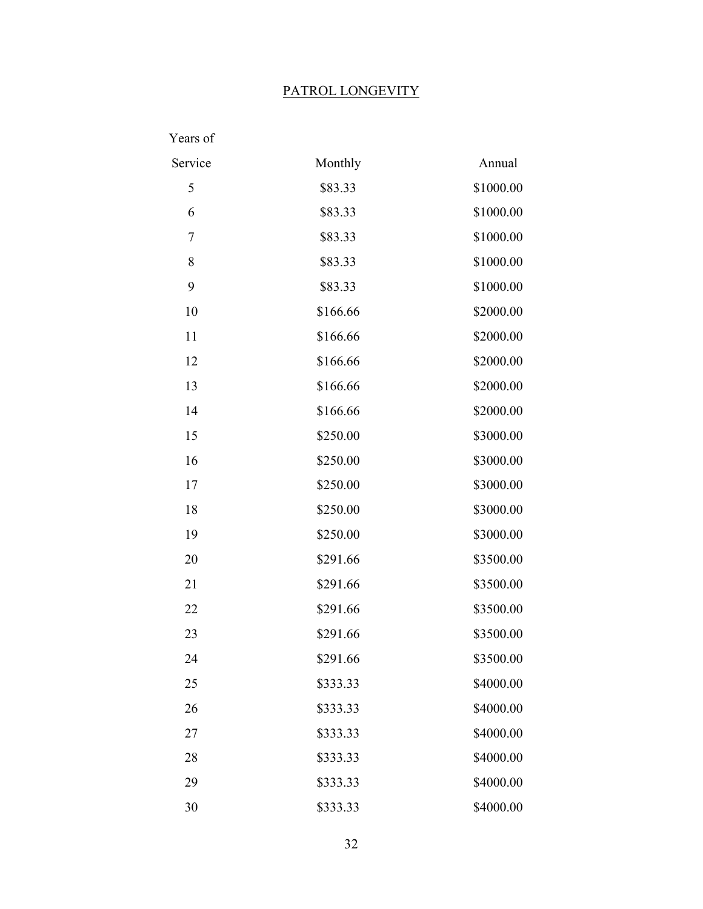### PATROL LONGEVITY

| Years of |          |           |
|----------|----------|-----------|
| Service  | Monthly  | Annual    |
| 5        | \$83.33  | \$1000.00 |
| 6        | \$83.33  | \$1000.00 |
| 7        | \$83.33  | \$1000.00 |
| 8        | \$83.33  | \$1000.00 |
| 9        | \$83.33  | \$1000.00 |
| 10       | \$166.66 | \$2000.00 |
| 11       | \$166.66 | \$2000.00 |
| 12       | \$166.66 | \$2000.00 |
| 13       | \$166.66 | \$2000.00 |
| 14       | \$166.66 | \$2000.00 |
| 15       | \$250.00 | \$3000.00 |
| 16       | \$250.00 | \$3000.00 |
| 17       | \$250.00 | \$3000.00 |
| 18       | \$250.00 | \$3000.00 |
| 19       | \$250.00 | \$3000.00 |
| 20       | \$291.66 | \$3500.00 |
| 21       | \$291.66 | \$3500.00 |
| 22       | \$291.66 | \$3500.00 |
| 23       | \$291.66 | \$3500.00 |
| 24       | \$291.66 | \$3500.00 |
| 25       | \$333.33 | \$4000.00 |
| 26       | \$333.33 | \$4000.00 |
| 27       | \$333.33 | \$4000.00 |
| 28       | \$333.33 | \$4000.00 |
| 29       | \$333.33 | \$4000.00 |
| 30       | \$333.33 | \$4000.00 |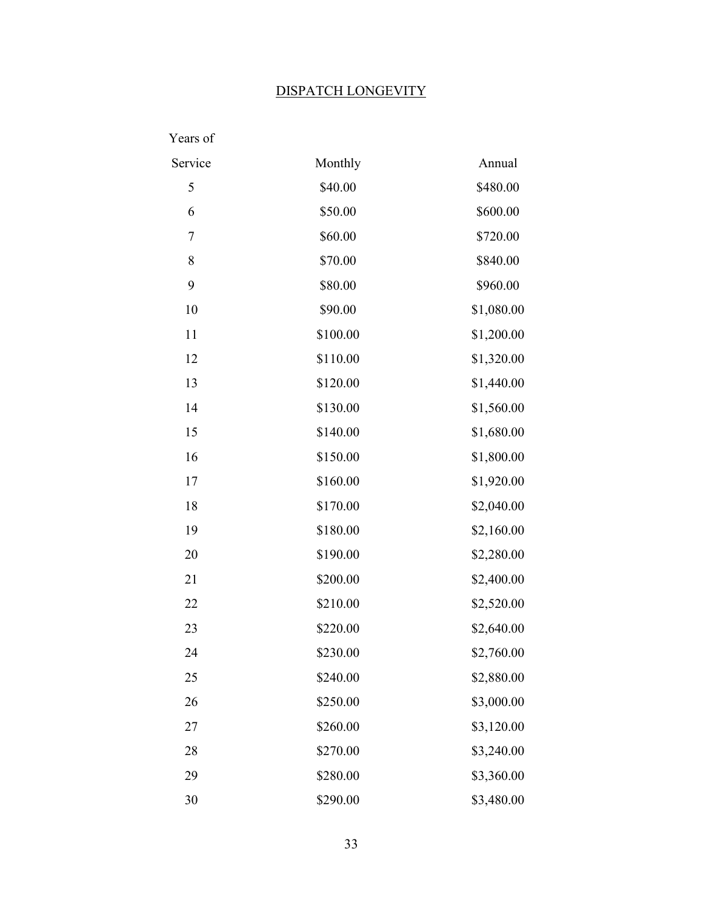#### DISPATCH LONGEVITY

| Years of |          |            |
|----------|----------|------------|
| Service  | Monthly  | Annual     |
| 5        | \$40.00  | \$480.00   |
| 6        | \$50.00  | \$600.00   |
| 7        | \$60.00  | \$720.00   |
| 8        | \$70.00  | \$840.00   |
| 9        | \$80.00  | \$960.00   |
| 10       | \$90.00  | \$1,080.00 |
| 11       | \$100.00 | \$1,200.00 |
| 12       | \$110.00 | \$1,320.00 |
| 13       | \$120.00 | \$1,440.00 |
| 14       | \$130.00 | \$1,560.00 |
| 15       | \$140.00 | \$1,680.00 |
| 16       | \$150.00 | \$1,800.00 |
| 17       | \$160.00 | \$1,920.00 |
| 18       | \$170.00 | \$2,040.00 |
| 19       | \$180.00 | \$2,160.00 |
| 20       | \$190.00 | \$2,280.00 |
| 21       | \$200.00 | \$2,400.00 |
| 22       | \$210.00 | \$2,520.00 |
| 23       | \$220.00 | \$2,640.00 |
| 24       | \$230.00 | \$2,760.00 |
| 25       | \$240.00 | \$2,880.00 |
| 26       | \$250.00 | \$3,000.00 |
| 27       | \$260.00 | \$3,120.00 |
| 28       | \$270.00 | \$3,240.00 |
| 29       | \$280.00 | \$3,360.00 |
| 30       | \$290.00 | \$3,480.00 |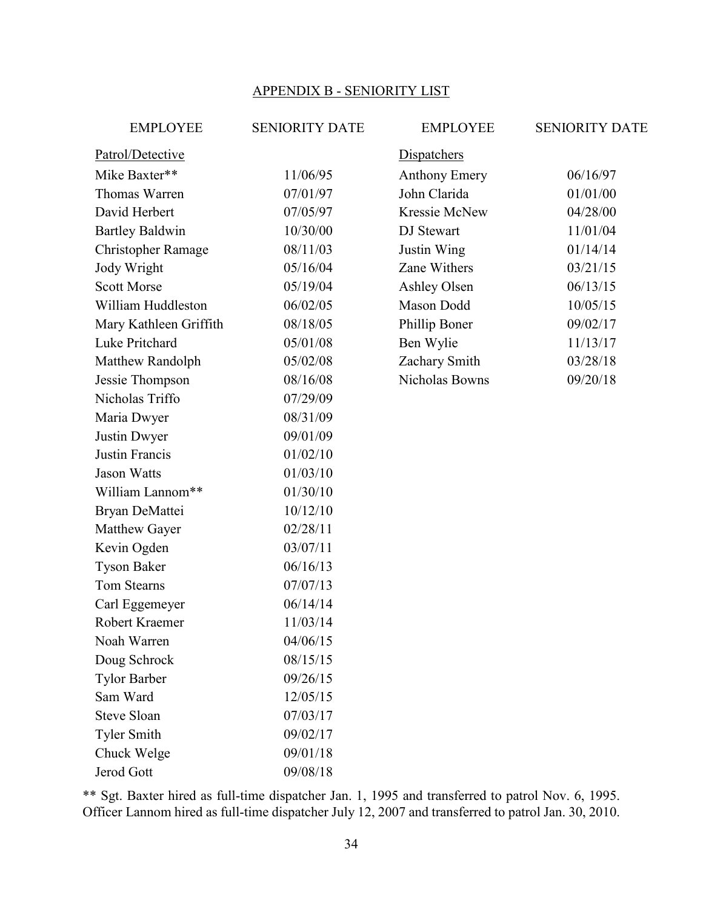#### APPENDIX B - SENIORITY LIST

| <b>EMPLOYEE</b>           | <b>SENIORITY DATE</b> | <b>EMPLOYEE</b>      | <b>SENIORITY DATE</b> |
|---------------------------|-----------------------|----------------------|-----------------------|
| Patrol/Detective          |                       | Dispatchers          |                       |
| Mike Baxter**             | 11/06/95              | <b>Anthony Emery</b> | 06/16/97              |
| Thomas Warren             | 07/01/97              | John Clarida         | 01/01/00              |
| David Herbert             | 07/05/97              | Kressie McNew        | 04/28/00              |
| <b>Bartley Baldwin</b>    | 10/30/00              | DJ Stewart           | 11/01/04              |
| <b>Christopher Ramage</b> | 08/11/03              | Justin Wing          | 01/14/14              |
| Jody Wright               | 05/16/04              | Zane Withers         | 03/21/15              |
| <b>Scott Morse</b>        | 05/19/04              | Ashley Olsen         | 06/13/15              |
| William Huddleston        | 06/02/05              | Mason Dodd           | 10/05/15              |
| Mary Kathleen Griffith    | 08/18/05              | Phillip Boner        | 09/02/17              |
| Luke Pritchard            | 05/01/08              | Ben Wylie            | 11/13/17              |
| Matthew Randolph          | 05/02/08              | Zachary Smith        | 03/28/18              |
| Jessie Thompson           | 08/16/08              | Nicholas Bowns       | 09/20/18              |
| Nicholas Triffo           | 07/29/09              |                      |                       |
| Maria Dwyer               | 08/31/09              |                      |                       |
| Justin Dwyer              | 09/01/09              |                      |                       |
| Justin Francis            | 01/02/10              |                      |                       |
| <b>Jason Watts</b>        | 01/03/10              |                      |                       |
| William Lannom**          | 01/30/10              |                      |                       |
| Bryan DeMattei            | 10/12/10              |                      |                       |
| Matthew Gayer             | 02/28/11              |                      |                       |
| Kevin Ogden               | 03/07/11              |                      |                       |
| <b>Tyson Baker</b>        | 06/16/13              |                      |                       |
| Tom Stearns               | 07/07/13              |                      |                       |
| Carl Eggemeyer            | 06/14/14              |                      |                       |
| Robert Kraemer            | 11/03/14              |                      |                       |
| Noah Warren               | 04/06/15              |                      |                       |
| Doug Schrock              | 08/15/15              |                      |                       |
| <b>Tylor Barber</b>       | 09/26/15              |                      |                       |
| Sam Ward                  | 12/05/15              |                      |                       |
| <b>Steve Sloan</b>        | 07/03/17              |                      |                       |
| <b>Tyler Smith</b>        | 09/02/17              |                      |                       |
| Chuck Welge               | 09/01/18              |                      |                       |
| Jerod Gott                | 09/08/18              |                      |                       |

\*\* Sgt. Baxter hired as full-time dispatcher Jan. 1, 1995 and transferred to patrol Nov. 6, 1995. Officer Lannom hired as full-time dispatcher July 12, 2007 and transferred to patrol Jan. 30, 2010.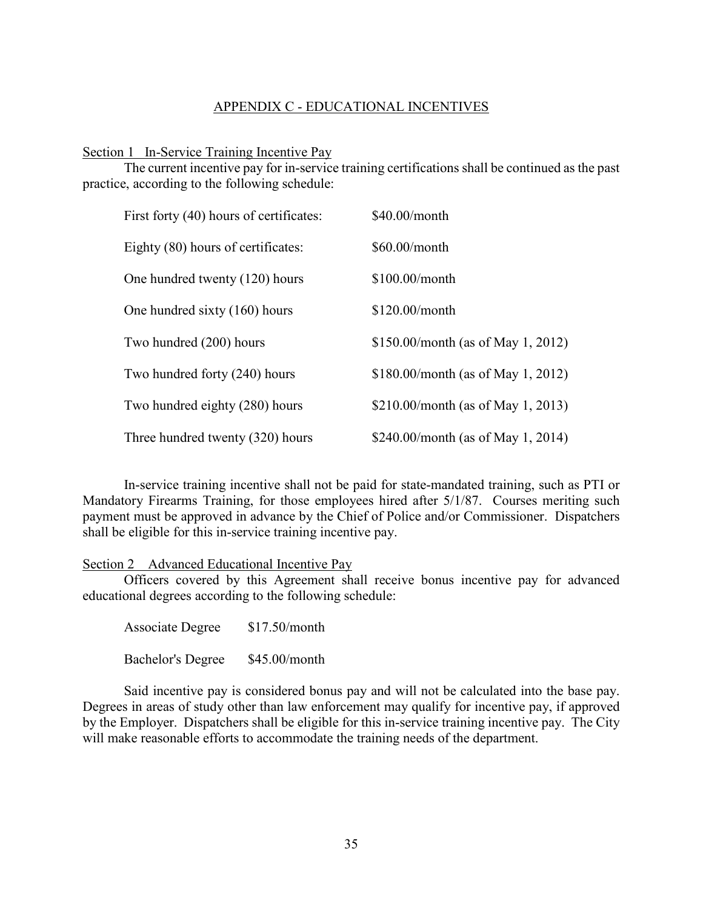#### APPENDIX C - EDUCATIONAL INCENTIVES

Section 1 In-Service Training Incentive Pay

The current incentive pay for in-service training certifications shall be continued as the past practice, according to the following schedule:

| First forty (40) hours of certificates: | \$40.00/month                        |
|-----------------------------------------|--------------------------------------|
| Eighty (80) hours of certificates:      | $$60.00/m$ onth                      |
| One hundred twenty (120) hours          | $$100.00/m$ onth                     |
| One hundred sixty (160) hours           | \$120.00/month                       |
| Two hundred (200) hours                 | $$150.00/m$ onth (as of May 1, 2012) |
| Two hundred forty (240) hours           | $$180.00/m$ onth (as of May 1, 2012) |
| Two hundred eighty (280) hours          | \$210.00/month (as of May 1, 2013)   |
| Three hundred twenty (320) hours        | \$240.00/month (as of May 1, 2014)   |

In-service training incentive shall not be paid for state-mandated training, such as PTI or Mandatory Firearms Training, for those employees hired after 5/1/87. Courses meriting such payment must be approved in advance by the Chief of Police and/or Commissioner. Dispatchers shall be eligible for this in-service training incentive pay.

Section 2 Advanced Educational Incentive Pay

Officers covered by this Agreement shall receive bonus incentive pay for advanced educational degrees according to the following schedule:

Associate Degree \$17.50/month Bachelor's Degree \$45.00/month

Said incentive pay is considered bonus pay and will not be calculated into the base pay. Degrees in areas of study other than law enforcement may qualify for incentive pay, if approved by the Employer. Dispatchers shall be eligible for this in-service training incentive pay. The City will make reasonable efforts to accommodate the training needs of the department.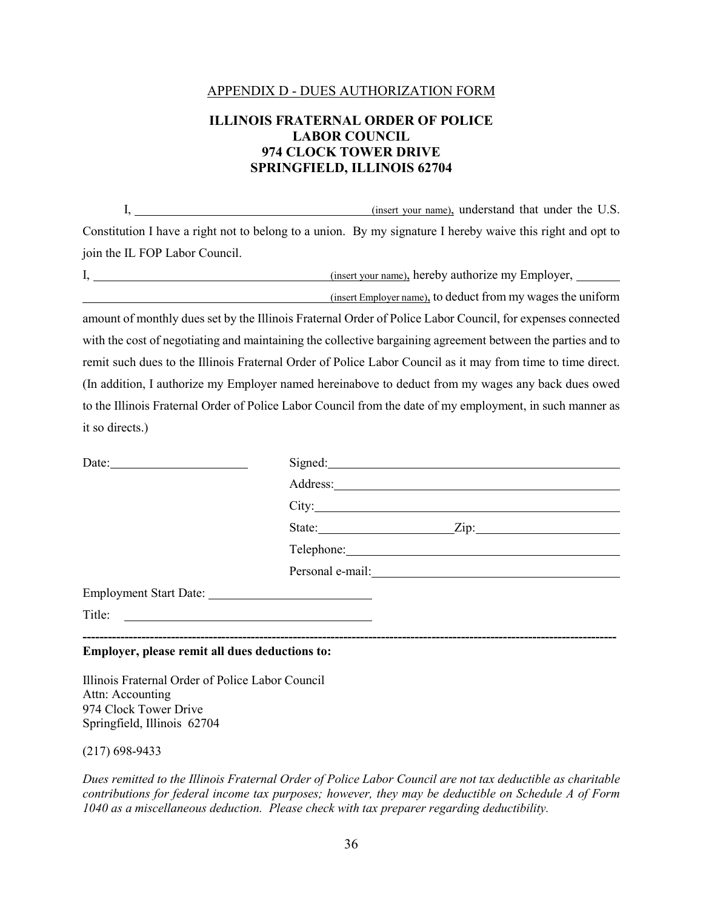#### APPENDIX D - DUES AUTHORIZATION FORM

#### **ILLINOIS FRATERNAL ORDER OF POLICE LABOR COUNCIL 974 CLOCK TOWER DRIVE SPRINGFIELD, ILLINOIS 62704**

I, (insert your name), understand that under the U.S. Constitution I have a right not to belong to a union. By my signature I hereby waive this right and opt to join the IL FOP Labor Council.

I, (insert your name), hereby authorize my Employer,

(insert Employer name), to deduct from my wages the uniform

amount of monthly dues set by the Illinois Fraternal Order of Police Labor Council, for expenses connected with the cost of negotiating and maintaining the collective bargaining agreement between the parties and to remit such dues to the Illinois Fraternal Order of Police Labor Council as it may from time to time direct. (In addition, I authorize my Employer named hereinabove to deduct from my wages any back dues owed to the Illinois Fraternal Order of Police Labor Council from the date of my employment, in such manner as it so directs.)

| Date: $\qquad \qquad$                                                                                                           | Signed: 2000 Communication of the Signed:                                                                                                                                                                                      |
|---------------------------------------------------------------------------------------------------------------------------------|--------------------------------------------------------------------------------------------------------------------------------------------------------------------------------------------------------------------------------|
|                                                                                                                                 |                                                                                                                                                                                                                                |
|                                                                                                                                 |                                                                                                                                                                                                                                |
|                                                                                                                                 | State:<br>$\frac{2}{\text{lip:}}$                                                                                                                                                                                              |
|                                                                                                                                 | Telephone: 2000 and 2000 and 2000 and 2000 and 2000 and 2000 and 2000 and 2000 and 2000 and 2000 and 2000 and 2000 and 2000 and 2000 and 2000 and 2000 and 2000 and 2000 and 2000 and 2000 and 2000 and 2000 and 2000 and 2000 |
|                                                                                                                                 | Personal e-mail:<br><u>example</u>                                                                                                                                                                                             |
|                                                                                                                                 |                                                                                                                                                                                                                                |
| <u> 1986 - Johann Stoff, fransk konge og det forskellige og det forskellige og det forskellige og det forskellige</u><br>Title: |                                                                                                                                                                                                                                |
|                                                                                                                                 |                                                                                                                                                                                                                                |

#### **Employer, please remit all dues deductions to:**

Illinois Fraternal Order of Police Labor Council Attn: Accounting 974 Clock Tower Drive Springfield, Illinois 62704

(217) 698-9433

*Dues remitted to the Illinois Fraternal Order of Police Labor Council are not tax deductible as charitable contributions for federal income tax purposes; however, they may be deductible on Schedule A of Form 1040 as a miscellaneous deduction. Please check with tax preparer regarding deductibility.*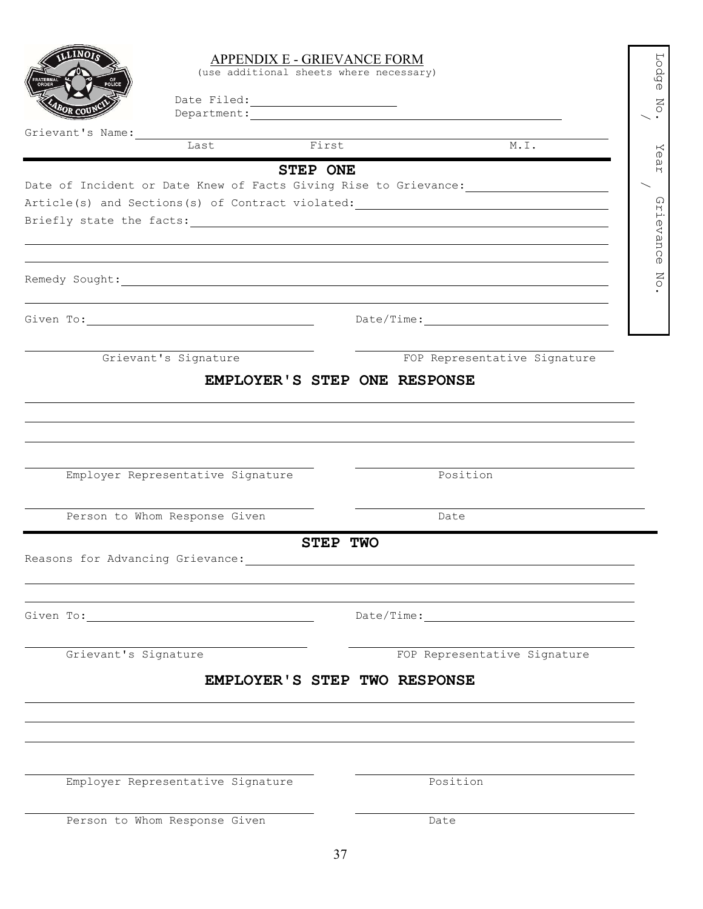|                                                                                                                                                                                                                                | APPENDIX E - GRIEVANCE FORM<br>(use additional sheets where necessary) |                 |                                                                                                                |  |
|--------------------------------------------------------------------------------------------------------------------------------------------------------------------------------------------------------------------------------|------------------------------------------------------------------------|-----------------|----------------------------------------------------------------------------------------------------------------|--|
|                                                                                                                                                                                                                                |                                                                        |                 |                                                                                                                |  |
| Grievant's Name:                                                                                                                                                                                                               | Last                                                                   | First           | M.L.                                                                                                           |  |
|                                                                                                                                                                                                                                |                                                                        | <b>STEP ONE</b> |                                                                                                                |  |
|                                                                                                                                                                                                                                |                                                                        |                 | Date of Incident or Date Knew of Facts Giving Rise to Grievance: ________________                              |  |
|                                                                                                                                                                                                                                |                                                                        |                 |                                                                                                                |  |
|                                                                                                                                                                                                                                |                                                                        |                 | Briefly state the facts: example and a set of the state of the state of the state of the state of the state of |  |
|                                                                                                                                                                                                                                |                                                                        |                 |                                                                                                                |  |
|                                                                                                                                                                                                                                |                                                                        |                 |                                                                                                                |  |
| Given To: University of the Communication of the Communication of the Communication of the Communication of the Communication of the Communication of the Communication of the Communication of the Communication of the Commu |                                                                        |                 | $\texttt{Date}/\texttt{Time:}\underline{\hspace{2.5cm}}$                                                       |  |
|                                                                                                                                                                                                                                | Grievant's Signature                                                   |                 | FOP Representative Signature                                                                                   |  |
|                                                                                                                                                                                                                                | EMPLOYER'S STEP ONE RESPONSE                                           |                 |                                                                                                                |  |
|                                                                                                                                                                                                                                |                                                                        |                 |                                                                                                                |  |
|                                                                                                                                                                                                                                |                                                                        |                 |                                                                                                                |  |
|                                                                                                                                                                                                                                |                                                                        |                 |                                                                                                                |  |
|                                                                                                                                                                                                                                |                                                                        |                 |                                                                                                                |  |
|                                                                                                                                                                                                                                | Employer Representative Signature                                      |                 | Position                                                                                                       |  |
|                                                                                                                                                                                                                                | Person to Whom Response Given                                          |                 | Date                                                                                                           |  |
|                                                                                                                                                                                                                                |                                                                        | <b>STEP TWO</b> |                                                                                                                |  |
|                                                                                                                                                                                                                                |                                                                        |                 |                                                                                                                |  |
|                                                                                                                                                                                                                                |                                                                        |                 |                                                                                                                |  |
|                                                                                                                                                                                                                                |                                                                        |                 |                                                                                                                |  |
| Given To: 2008 2010 2010 2021 2022 2023 2024 2022 2022 2023 2024 2022 2023 2024 2022 2023 2024 2025 2026 2027 20                                                                                                               |                                                                        |                 |                                                                                                                |  |
| Grievant's Signature                                                                                                                                                                                                           |                                                                        |                 | FOP Representative Signature                                                                                   |  |
|                                                                                                                                                                                                                                | EMPLOYER'S STEP TWO RESPONSE                                           |                 |                                                                                                                |  |
|                                                                                                                                                                                                                                |                                                                        |                 |                                                                                                                |  |
|                                                                                                                                                                                                                                |                                                                        |                 |                                                                                                                |  |
|                                                                                                                                                                                                                                |                                                                        |                 |                                                                                                                |  |
|                                                                                                                                                                                                                                | Employer Representative Signature                                      |                 | Position                                                                                                       |  |
|                                                                                                                                                                                                                                | Person to Whom Response Given                                          |                 |                                                                                                                |  |